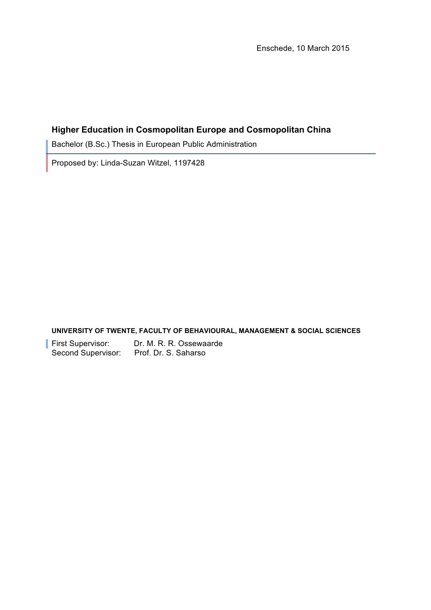Enschede, 10 March 2015

## **Higher Education in Cosmopolitan Europe and Cosmopolitan China**

Bachelor (B.Sc.) Thesis in European Public Administration

Proposed by: Linda-Suzan Witzel, 1197428

**UNIVERSITY OF TWENTE, FACULTY OF BEHAVIOURAL, MANAGEMENT & SOCIAL SCIENCES**

**First Supervisor:** Dr. M. R. R. Ossewaarde Second Supervisor: Prof. Dr. S. Saharso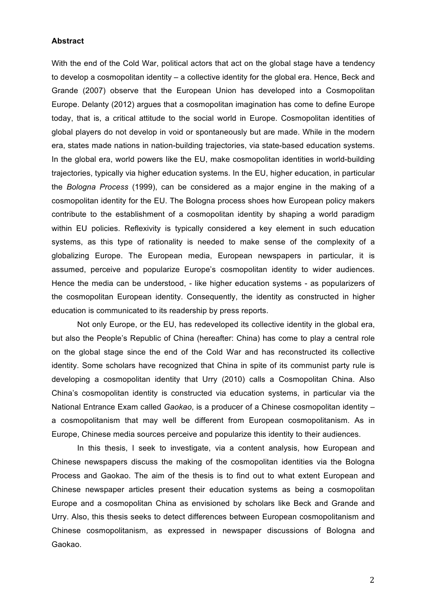#### **Abstract**

With the end of the Cold War, political actors that act on the global stage have a tendency to develop a cosmopolitan identity – a collective identity for the global era. Hence, Beck and Grande (2007) observe that the European Union has developed into a Cosmopolitan Europe. Delanty (2012) argues that a cosmopolitan imagination has come to define Europe today, that is, a critical attitude to the social world in Europe. Cosmopolitan identities of global players do not develop in void or spontaneously but are made. While in the modern era, states made nations in nation-building trajectories, via state-based education systems. In the global era, world powers like the EU, make cosmopolitan identities in world-building trajectories, typically via higher education systems. In the EU, higher education, in particular the *Bologna Process* (1999), can be considered as a major engine in the making of a cosmopolitan identity for the EU. The Bologna process shoes how European policy makers contribute to the establishment of a cosmopolitan identity by shaping a world paradigm within EU policies. Reflexivity is typically considered a key element in such education systems, as this type of rationality is needed to make sense of the complexity of a globalizing Europe. The European media, European newspapers in particular, it is assumed, perceive and popularize Europe's cosmopolitan identity to wider audiences. Hence the media can be understood, - like higher education systems - as popularizers of the cosmopolitan European identity. Consequently, the identity as constructed in higher education is communicated to its readership by press reports.

Not only Europe, or the EU, has redeveloped its collective identity in the global era, but also the People's Republic of China (hereafter: China) has come to play a central role on the global stage since the end of the Cold War and has reconstructed its collective identity. Some scholars have recognized that China in spite of its communist party rule is developing a cosmopolitan identity that Urry (2010) calls a Cosmopolitan China. Also China's cosmopolitan identity is constructed via education systems, in particular via the National Entrance Exam called *Gaokao*, is a producer of a Chinese cosmopolitan identity – a cosmopolitanism that may well be different from European cosmopolitanism. As in Europe, Chinese media sources perceive and popularize this identity to their audiences.

In this thesis, I seek to investigate, via a content analysis, how European and Chinese newspapers discuss the making of the cosmopolitan identities via the Bologna Process and Gaokao. The aim of the thesis is to find out to what extent European and Chinese newspaper articles present their education systems as being a cosmopolitan Europe and a cosmopolitan China as envisioned by scholars like Beck and Grande and Urry. Also, this thesis seeks to detect differences between European cosmopolitanism and Chinese cosmopolitanism, as expressed in newspaper discussions of Bologna and Gaokao.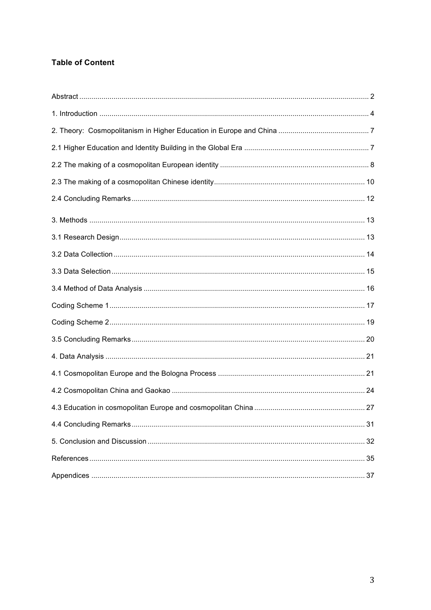# **Table of Content**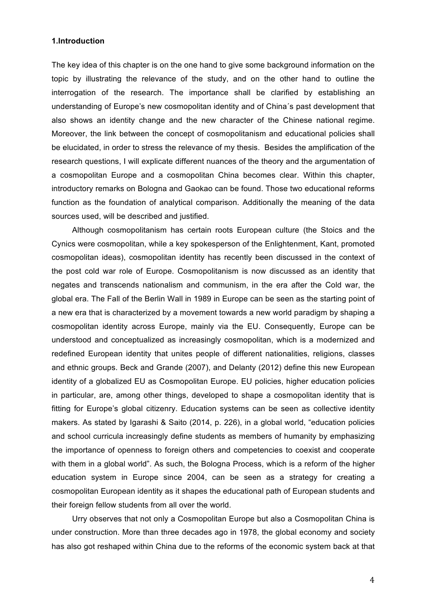#### **1.Introduction**

The key idea of this chapter is on the one hand to give some background information on the topic by illustrating the relevance of the study, and on the other hand to outline the interrogation of the research. The importance shall be clarified by establishing an understanding of Europe's new cosmopolitan identity and of China´s past development that also shows an identity change and the new character of the Chinese national regime. Moreover, the link between the concept of cosmopolitanism and educational policies shall be elucidated, in order to stress the relevance of my thesis. Besides the amplification of the research questions, I will explicate different nuances of the theory and the argumentation of a cosmopolitan Europe and a cosmopolitan China becomes clear. Within this chapter, introductory remarks on Bologna and Gaokao can be found. Those two educational reforms function as the foundation of analytical comparison. Additionally the meaning of the data sources used, will be described and justified.

Although cosmopolitanism has certain roots European culture (the Stoics and the Cynics were cosmopolitan, while a key spokesperson of the Enlightenment, Kant, promoted cosmopolitan ideas), cosmopolitan identity has recently been discussed in the context of the post cold war role of Europe. Cosmopolitanism is now discussed as an identity that negates and transcends nationalism and communism, in the era after the Cold war, the global era. The Fall of the Berlin Wall in 1989 in Europe can be seen as the starting point of a new era that is characterized by a movement towards a new world paradigm by shaping a cosmopolitan identity across Europe, mainly via the EU. Consequently, Europe can be understood and conceptualized as increasingly cosmopolitan, which is a modernized and redefined European identity that unites people of different nationalities, religions, classes and ethnic groups. Beck and Grande (2007), and Delanty (2012) define this new European identity of a globalized EU as Cosmopolitan Europe. EU policies, higher education policies in particular, are, among other things, developed to shape a cosmopolitan identity that is fitting for Europe's global citizenry. Education systems can be seen as collective identity makers. As stated by Igarashi & Saito (2014, p. 226), in a global world, "education policies and school curricula increasingly define students as members of humanity by emphasizing the importance of openness to foreign others and competencies to coexist and cooperate with them in a global world". As such, the Bologna Process, which is a reform of the higher education system in Europe since 2004, can be seen as a strategy for creating a cosmopolitan European identity as it shapes the educational path of European students and their foreign fellow students from all over the world.

Urry observes that not only a Cosmopolitan Europe but also a Cosmopolitan China is under construction. More than three decades ago in 1978, the global economy and society has also got reshaped within China due to the reforms of the economic system back at that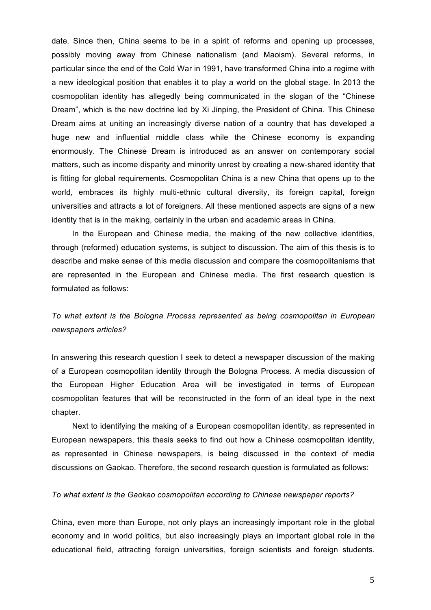date. Since then, China seems to be in a spirit of reforms and opening up processes, possibly moving away from Chinese nationalism (and Maoism). Several reforms, in particular since the end of the Cold War in 1991, have transformed China into a regime with a new ideological position that enables it to play a world on the global stage. In 2013 the cosmopolitan identity has allegedly being communicated in the slogan of the "Chinese Dream", which is the new doctrine led by Xi Jinping, the President of China. This Chinese Dream aims at uniting an increasingly diverse nation of a country that has developed a huge new and influential middle class while the Chinese economy is expanding enormously. The Chinese Dream is introduced as an answer on contemporary social matters, such as income disparity and minority unrest by creating a new-shared identity that is fitting for global requirements. Cosmopolitan China is a new China that opens up to the world, embraces its highly multi-ethnic cultural diversity, its foreign capital, foreign universities and attracts a lot of foreigners. All these mentioned aspects are signs of a new identity that is in the making, certainly in the urban and academic areas in China.

In the European and Chinese media, the making of the new collective identities, through (reformed) education systems, is subject to discussion. The aim of this thesis is to describe and make sense of this media discussion and compare the cosmopolitanisms that are represented in the European and Chinese media. The first research question is formulated as follows:

# *To what extent is the Bologna Process represented as being cosmopolitan in European newspapers articles?*

In answering this research question I seek to detect a newspaper discussion of the making of a European cosmopolitan identity through the Bologna Process. A media discussion of the European Higher Education Area will be investigated in terms of European cosmopolitan features that will be reconstructed in the form of an ideal type in the next chapter.

Next to identifying the making of a European cosmopolitan identity, as represented in European newspapers, this thesis seeks to find out how a Chinese cosmopolitan identity, as represented in Chinese newspapers, is being discussed in the context of media discussions on Gaokao. Therefore, the second research question is formulated as follows:

## *To what extent is the Gaokao cosmopolitan according to Chinese newspaper reports?*

China, even more than Europe, not only plays an increasingly important role in the global economy and in world politics, but also increasingly plays an important global role in the educational field, attracting foreign universities, foreign scientists and foreign students.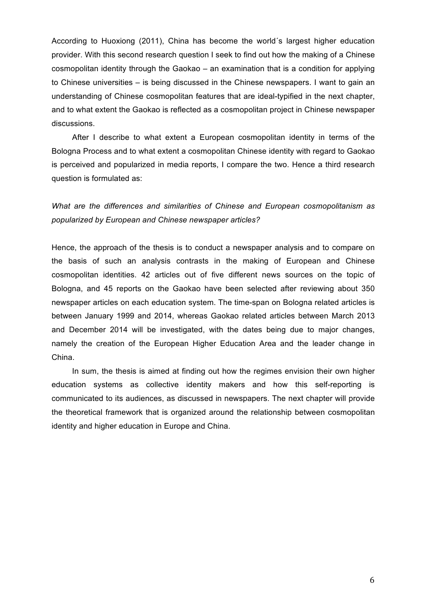According to Huoxiong (2011), China has become the world´s largest higher education provider. With this second research question I seek to find out how the making of a Chinese cosmopolitan identity through the Gaokao – an examination that is a condition for applying to Chinese universities – is being discussed in the Chinese newspapers. I want to gain an understanding of Chinese cosmopolitan features that are ideal-typified in the next chapter, and to what extent the Gaokao is reflected as a cosmopolitan project in Chinese newspaper discussions.

After I describe to what extent a European cosmopolitan identity in terms of the Bologna Process and to what extent a cosmopolitan Chinese identity with regard to Gaokao is perceived and popularized in media reports, I compare the two. Hence a third research question is formulated as:

*What are the differences and similarities of Chinese and European cosmopolitanism as popularized by European and Chinese newspaper articles?*

Hence, the approach of the thesis is to conduct a newspaper analysis and to compare on the basis of such an analysis contrasts in the making of European and Chinese cosmopolitan identities. 42 articles out of five different news sources on the topic of Bologna, and 45 reports on the Gaokao have been selected after reviewing about 350 newspaper articles on each education system. The time-span on Bologna related articles is between January 1999 and 2014, whereas Gaokao related articles between March 2013 and December 2014 will be investigated, with the dates being due to major changes, namely the creation of the European Higher Education Area and the leader change in China.

In sum, the thesis is aimed at finding out how the regimes envision their own higher education systems as collective identity makers and how this self-reporting is communicated to its audiences, as discussed in newspapers. The next chapter will provide the theoretical framework that is organized around the relationship between cosmopolitan identity and higher education in Europe and China.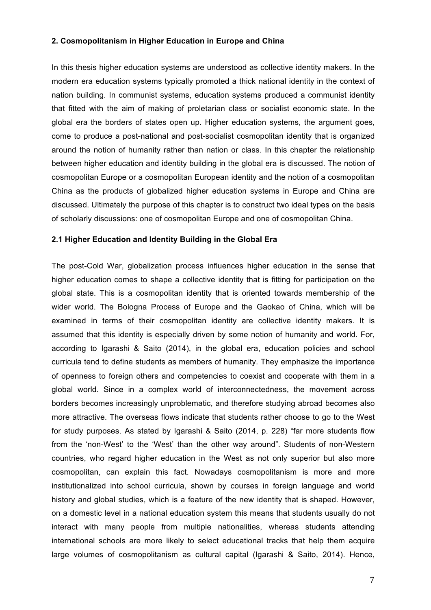#### **2. Cosmopolitanism in Higher Education in Europe and China**

In this thesis higher education systems are understood as collective identity makers. In the modern era education systems typically promoted a thick national identity in the context of nation building. In communist systems, education systems produced a communist identity that fitted with the aim of making of proletarian class or socialist economic state. In the global era the borders of states open up. Higher education systems, the argument goes, come to produce a post-national and post-socialist cosmopolitan identity that is organized around the notion of humanity rather than nation or class. In this chapter the relationship between higher education and identity building in the global era is discussed. The notion of cosmopolitan Europe or a cosmopolitan European identity and the notion of a cosmopolitan China as the products of globalized higher education systems in Europe and China are discussed. Ultimately the purpose of this chapter is to construct two ideal types on the basis of scholarly discussions: one of cosmopolitan Europe and one of cosmopolitan China.

#### **2.1 Higher Education and Identity Building in the Global Era**

The post-Cold War, globalization process influences higher education in the sense that higher education comes to shape a collective identity that is fitting for participation on the global state. This is a cosmopolitan identity that is oriented towards membership of the wider world. The Bologna Process of Europe and the Gaokao of China, which will be examined in terms of their cosmopolitan identity are collective identity makers. It is assumed that this identity is especially driven by some notion of humanity and world. For, according to Igarashi & Saito (2014), in the global era, education policies and school curricula tend to define students as members of humanity. They emphasize the importance of openness to foreign others and competencies to coexist and cooperate with them in a global world. Since in a complex world of interconnectedness, the movement across borders becomes increasingly unproblematic, and therefore studying abroad becomes also more attractive. The overseas flows indicate that students rather choose to go to the West for study purposes. As stated by Igarashi & Saito (2014, p. 228) "far more students flow from the 'non-West' to the 'West' than the other way around". Students of non-Western countries, who regard higher education in the West as not only superior but also more cosmopolitan, can explain this fact. Nowadays cosmopolitanism is more and more institutionalized into school curricula, shown by courses in foreign language and world history and global studies, which is a feature of the new identity that is shaped. However, on a domestic level in a national education system this means that students usually do not interact with many people from multiple nationalities, whereas students attending international schools are more likely to select educational tracks that help them acquire large volumes of cosmopolitanism as cultural capital (Igarashi & Saito, 2014). Hence,

7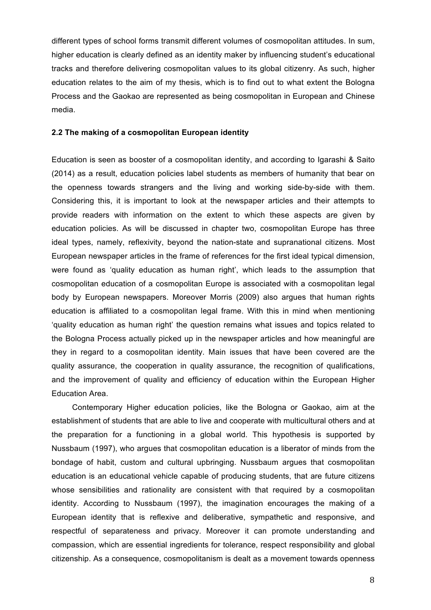different types of school forms transmit different volumes of cosmopolitan attitudes. In sum, higher education is clearly defined as an identity maker by influencing student's educational tracks and therefore delivering cosmopolitan values to its global citizenry. As such, higher education relates to the aim of my thesis, which is to find out to what extent the Bologna Process and the Gaokao are represented as being cosmopolitan in European and Chinese media.

#### **2.2 The making of a cosmopolitan European identity**

Education is seen as booster of a cosmopolitan identity, and according to Igarashi & Saito (2014) as a result, education policies label students as members of humanity that bear on the openness towards strangers and the living and working side-by-side with them. Considering this, it is important to look at the newspaper articles and their attempts to provide readers with information on the extent to which these aspects are given by education policies. As will be discussed in chapter two, cosmopolitan Europe has three ideal types, namely, reflexivity, beyond the nation-state and supranational citizens. Most European newspaper articles in the frame of references for the first ideal typical dimension, were found as 'quality education as human right', which leads to the assumption that cosmopolitan education of a cosmopolitan Europe is associated with a cosmopolitan legal body by European newspapers. Moreover Morris (2009) also argues that human rights education is affiliated to a cosmopolitan legal frame. With this in mind when mentioning 'quality education as human right' the question remains what issues and topics related to the Bologna Process actually picked up in the newspaper articles and how meaningful are they in regard to a cosmopolitan identity. Main issues that have been covered are the quality assurance, the cooperation in quality assurance, the recognition of qualifications, and the improvement of quality and efficiency of education within the European Higher Education Area.

Contemporary Higher education policies, like the Bologna or Gaokao, aim at the establishment of students that are able to live and cooperate with multicultural others and at the preparation for a functioning in a global world. This hypothesis is supported by Nussbaum (1997), who argues that cosmopolitan education is a liberator of minds from the bondage of habit, custom and cultural upbringing. Nussbaum argues that cosmopolitan education is an educational vehicle capable of producing students, that are future citizens whose sensibilities and rationality are consistent with that required by a cosmopolitan identity. According to Nussbaum (1997), the imagination encourages the making of a European identity that is reflexive and deliberative, sympathetic and responsive, and respectful of separateness and privacy. Moreover it can promote understanding and compassion, which are essential ingredients for tolerance, respect responsibility and global citizenship. As a consequence, cosmopolitanism is dealt as a movement towards openness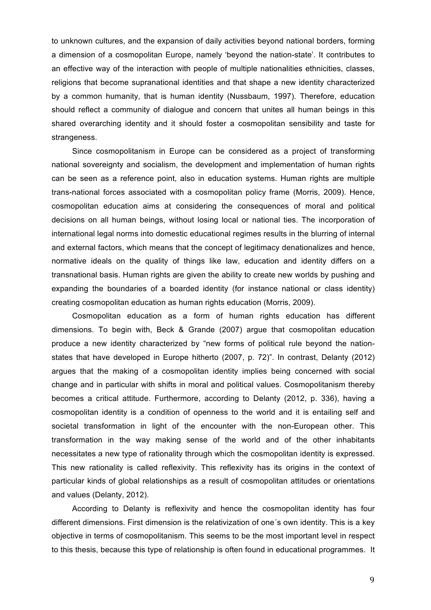to unknown cultures, and the expansion of daily activities beyond national borders, forming a dimension of a cosmopolitan Europe, namely 'beyond the nation-state'. It contributes to an effective way of the interaction with people of multiple nationalities ethnicities, classes, religions that become supranational identities and that shape a new identity characterized by a common humanity, that is human identity (Nussbaum, 1997). Therefore, education should reflect a community of dialogue and concern that unites all human beings in this shared overarching identity and it should foster a cosmopolitan sensibility and taste for strangeness.

Since cosmopolitanism in Europe can be considered as a project of transforming national sovereignty and socialism, the development and implementation of human rights can be seen as a reference point, also in education systems. Human rights are multiple trans-national forces associated with a cosmopolitan policy frame (Morris, 2009). Hence, cosmopolitan education aims at considering the consequences of moral and political decisions on all human beings, without losing local or national ties. The incorporation of international legal norms into domestic educational regimes results in the blurring of internal and external factors, which means that the concept of legitimacy denationalizes and hence, normative ideals on the quality of things like law, education and identity differs on a transnational basis. Human rights are given the ability to create new worlds by pushing and expanding the boundaries of a boarded identity (for instance national or class identity) creating cosmopolitan education as human rights education (Morris, 2009).

Cosmopolitan education as a form of human rights education has different dimensions. To begin with, Beck & Grande (2007) argue that cosmopolitan education produce a new identity characterized by "new forms of political rule beyond the nationstates that have developed in Europe hitherto (2007, p. 72)". In contrast, Delanty (2012) argues that the making of a cosmopolitan identity implies being concerned with social change and in particular with shifts in moral and political values. Cosmopolitanism thereby becomes a critical attitude. Furthermore, according to Delanty (2012, p. 336), having a cosmopolitan identity is a condition of openness to the world and it is entailing self and societal transformation in light of the encounter with the non-European other. This transformation in the way making sense of the world and of the other inhabitants necessitates a new type of rationality through which the cosmopolitan identity is expressed. This new rationality is called reflexivity. This reflexivity has its origins in the context of particular kinds of global relationships as a result of cosmopolitan attitudes or orientations and values (Delanty, 2012).

According to Delanty is reflexivity and hence the cosmopolitan identity has four different dimensions. First dimension is the relativization of one´s own identity. This is a key objective in terms of cosmopolitanism. This seems to be the most important level in respect to this thesis, because this type of relationship is often found in educational programmes. It

9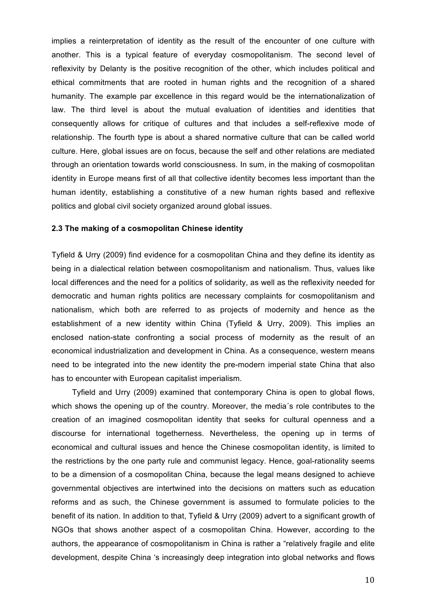implies a reinterpretation of identity as the result of the encounter of one culture with another. This is a typical feature of everyday cosmopolitanism. The second level of reflexivity by Delanty is the positive recognition of the other, which includes political and ethical commitments that are rooted in human rights and the recognition of a shared humanity. The example par excellence in this regard would be the internationalization of law. The third level is about the mutual evaluation of identities and identities that consequently allows for critique of cultures and that includes a self-reflexive mode of relationship. The fourth type is about a shared normative culture that can be called world culture. Here, global issues are on focus, because the self and other relations are mediated through an orientation towards world consciousness. In sum, in the making of cosmopolitan identity in Europe means first of all that collective identity becomes less important than the human identity, establishing a constitutive of a new human rights based and reflexive politics and global civil society organized around global issues.

## **2.3 The making of a cosmopolitan Chinese identity**

Tyfield & Urry (2009) find evidence for a cosmopolitan China and they define its identity as being in a dialectical relation between cosmopolitanism and nationalism. Thus, values like local differences and the need for a politics of solidarity, as well as the reflexivity needed for democratic and human rights politics are necessary complaints for cosmopolitanism and nationalism, which both are referred to as projects of modernity and hence as the establishment of a new identity within China (Tyfield & Urry, 2009). This implies an enclosed nation-state confronting a social process of modernity as the result of an economical industrialization and development in China. As a consequence, western means need to be integrated into the new identity the pre-modern imperial state China that also has to encounter with European capitalist imperialism.

Tyfield and Urry (2009) examined that contemporary China is open to global flows, which shows the opening up of the country. Moreover, the media's role contributes to the creation of an imagined cosmopolitan identity that seeks for cultural openness and a discourse for international togetherness. Nevertheless, the opening up in terms of economical and cultural issues and hence the Chinese cosmopolitan identity, is limited to the restrictions by the one party rule and communist legacy. Hence, goal-rationality seems to be a dimension of a cosmopolitan China, because the legal means designed to achieve governmental objectives are intertwined into the decisions on matters such as education reforms and as such, the Chinese government is assumed to formulate policies to the benefit of its nation. In addition to that, Tyfield & Urry (2009) advert to a significant growth of NGOs that shows another aspect of a cosmopolitan China. However, according to the authors, the appearance of cosmopolitanism in China is rather a "relatively fragile and elite development, despite China 's increasingly deep integration into global networks and flows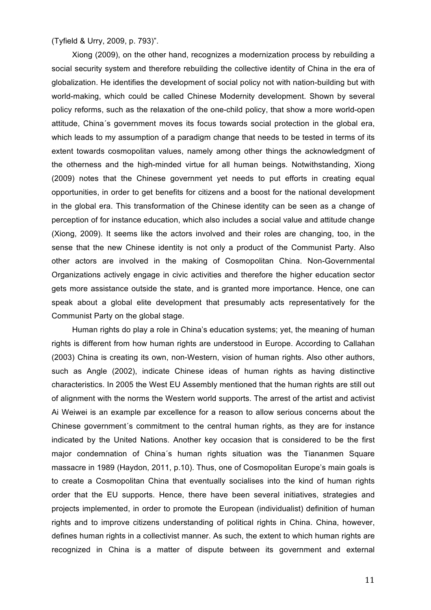(Tyfield & Urry, 2009, p. 793)".

Xiong (2009), on the other hand, recognizes a modernization process by rebuilding a social security system and therefore rebuilding the collective identity of China in the era of globalization. He identifies the development of social policy not with nation-building but with world-making, which could be called Chinese Modernity development. Shown by several policy reforms, such as the relaxation of the one-child policy, that show a more world-open attitude, China´s government moves its focus towards social protection in the global era, which leads to my assumption of a paradigm change that needs to be tested in terms of its extent towards cosmopolitan values, namely among other things the acknowledgment of the otherness and the high-minded virtue for all human beings. Notwithstanding, Xiong (2009) notes that the Chinese government yet needs to put efforts in creating equal opportunities, in order to get benefits for citizens and a boost for the national development in the global era. This transformation of the Chinese identity can be seen as a change of perception of for instance education, which also includes a social value and attitude change (Xiong, 2009). It seems like the actors involved and their roles are changing, too, in the sense that the new Chinese identity is not only a product of the Communist Party. Also other actors are involved in the making of Cosmopolitan China. Non-Governmental Organizations actively engage in civic activities and therefore the higher education sector gets more assistance outside the state, and is granted more importance. Hence, one can speak about a global elite development that presumably acts representatively for the Communist Party on the global stage.

Human rights do play a role in China's education systems; yet, the meaning of human rights is different from how human rights are understood in Europe. According to Callahan (2003) China is creating its own, non-Western, vision of human rights. Also other authors, such as Angle (2002), indicate Chinese ideas of human rights as having distinctive characteristics. In 2005 the West EU Assembly mentioned that the human rights are still out of alignment with the norms the Western world supports. The arrest of the artist and activist Ai Weiwei is an example par excellence for a reason to allow serious concerns about the Chinese government´s commitment to the central human rights, as they are for instance indicated by the United Nations. Another key occasion that is considered to be the first major condemnation of China´s human rights situation was the Tiananmen Square massacre in 1989 (Haydon, 2011, p.10). Thus, one of Cosmopolitan Europe's main goals is to create a Cosmopolitan China that eventually socialises into the kind of human rights order that the EU supports. Hence, there have been several initiatives, strategies and projects implemented, in order to promote the European (individualist) definition of human rights and to improve citizens understanding of political rights in China. China, however, defines human rights in a collectivist manner. As such, the extent to which human rights are recognized in China is a matter of dispute between its government and external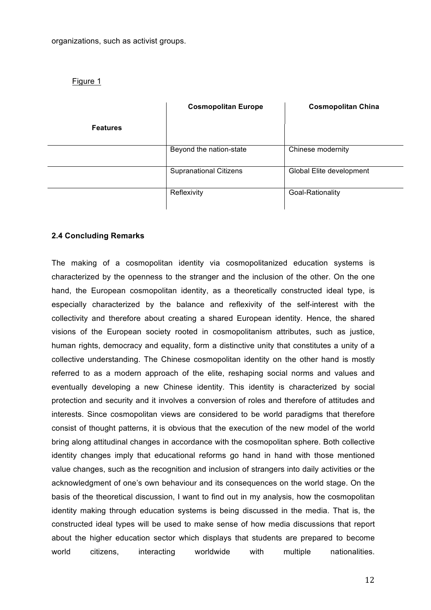organizations, such as activist groups.

Figure 1

|                 | <b>Cosmopolitan Europe</b>    | <b>Cosmopolitan China</b> |  |
|-----------------|-------------------------------|---------------------------|--|
| <b>Features</b> |                               |                           |  |
|                 | Beyond the nation-state       | Chinese modernity         |  |
|                 | <b>Supranational Citizens</b> | Global Elite development  |  |
|                 | Reflexivity                   | Goal-Rationality          |  |

## **2.4 Concluding Remarks**

The making of a cosmopolitan identity via cosmopolitanized education systems is characterized by the openness to the stranger and the inclusion of the other. On the one hand, the European cosmopolitan identity, as a theoretically constructed ideal type, is especially characterized by the balance and reflexivity of the self-interest with the collectivity and therefore about creating a shared European identity. Hence, the shared visions of the European society rooted in cosmopolitanism attributes, such as justice, human rights, democracy and equality, form a distinctive unity that constitutes a unity of a collective understanding. The Chinese cosmopolitan identity on the other hand is mostly referred to as a modern approach of the elite, reshaping social norms and values and eventually developing a new Chinese identity. This identity is characterized by social protection and security and it involves a conversion of roles and therefore of attitudes and interests. Since cosmopolitan views are considered to be world paradigms that therefore consist of thought patterns, it is obvious that the execution of the new model of the world bring along attitudinal changes in accordance with the cosmopolitan sphere. Both collective identity changes imply that educational reforms go hand in hand with those mentioned value changes, such as the recognition and inclusion of strangers into daily activities or the acknowledgment of one's own behaviour and its consequences on the world stage. On the basis of the theoretical discussion, I want to find out in my analysis, how the cosmopolitan identity making through education systems is being discussed in the media. That is, the constructed ideal types will be used to make sense of how media discussions that report about the higher education sector which displays that students are prepared to become world citizens, interacting worldwide with multiple nationalities.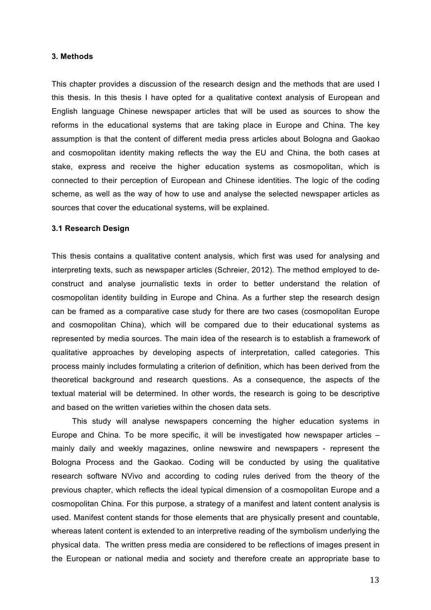### **3. Methods**

This chapter provides a discussion of the research design and the methods that are used I this thesis. In this thesis I have opted for a qualitative context analysis of European and English language Chinese newspaper articles that will be used as sources to show the reforms in the educational systems that are taking place in Europe and China. The key assumption is that the content of different media press articles about Bologna and Gaokao and cosmopolitan identity making reflects the way the EU and China, the both cases at stake, express and receive the higher education systems as cosmopolitan, which is connected to their perception of European and Chinese identities. The logic of the coding scheme, as well as the way of how to use and analyse the selected newspaper articles as sources that cover the educational systems, will be explained.

#### **3.1 Research Design**

This thesis contains a qualitative content analysis, which first was used for analysing and interpreting texts, such as newspaper articles (Schreier, 2012). The method employed to deconstruct and analyse journalistic texts in order to better understand the relation of cosmopolitan identity building in Europe and China. As a further step the research design can be framed as a comparative case study for there are two cases (cosmopolitan Europe and cosmopolitan China), which will be compared due to their educational systems as represented by media sources. The main idea of the research is to establish a framework of qualitative approaches by developing aspects of interpretation, called categories. This process mainly includes formulating a criterion of definition, which has been derived from the theoretical background and research questions. As a consequence, the aspects of the textual material will be determined. In other words, the research is going to be descriptive and based on the written varieties within the chosen data sets.

This study will analyse newspapers concerning the higher education systems in Europe and China. To be more specific, it will be investigated how newspaper articles – mainly daily and weekly magazines, online newswire and newspapers - represent the Bologna Process and the Gaokao. Coding will be conducted by using the qualitative research software NVivo and according to coding rules derived from the theory of the previous chapter, which reflects the ideal typical dimension of a cosmopolitan Europe and a cosmopolitan China. For this purpose, a strategy of a manifest and latent content analysis is used. Manifest content stands for those elements that are physically present and countable, whereas latent content is extended to an interpretive reading of the symbolism underlying the physical data. The written press media are considered to be reflections of images present in the European or national media and society and therefore create an appropriate base to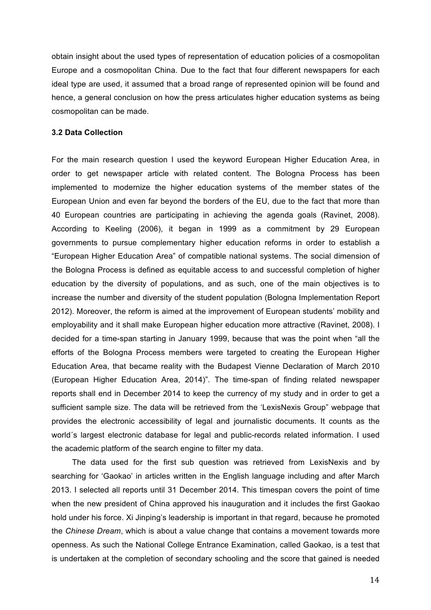obtain insight about the used types of representation of education policies of a cosmopolitan Europe and a cosmopolitan China. Due to the fact that four different newspapers for each ideal type are used, it assumed that a broad range of represented opinion will be found and hence, a general conclusion on how the press articulates higher education systems as being cosmopolitan can be made.

#### **3.2 Data Collection**

For the main research question I used the keyword European Higher Education Area, in order to get newspaper article with related content. The Bologna Process has been implemented to modernize the higher education systems of the member states of the European Union and even far beyond the borders of the EU, due to the fact that more than 40 European countries are participating in achieving the agenda goals (Ravinet, 2008). According to Keeling (2006), it began in 1999 as a commitment by 29 European governments to pursue complementary higher education reforms in order to establish a "European Higher Education Area" of compatible national systems. The social dimension of the Bologna Process is defined as equitable access to and successful completion of higher education by the diversity of populations, and as such, one of the main objectives is to increase the number and diversity of the student population (Bologna Implementation Report 2012). Moreover, the reform is aimed at the improvement of European students' mobility and employability and it shall make European higher education more attractive (Ravinet, 2008). I decided for a time-span starting in January 1999, because that was the point when "all the efforts of the Bologna Process members were targeted to creating the European Higher Education Area, that became reality with the Budapest Vienne Declaration of March 2010 (European Higher Education Area, 2014)". The time-span of finding related newspaper reports shall end in December 2014 to keep the currency of my study and in order to get a sufficient sample size. The data will be retrieved from the 'LexisNexis Group" webpage that provides the electronic accessibility of legal and journalistic documents. It counts as the world´s largest electronic database for legal and public-records related information. I used the academic platform of the search engine to filter my data.

The data used for the first sub question was retrieved from LexisNexis and by searching for 'Gaokao' in articles written in the English language including and after March 2013. I selected all reports until 31 December 2014. This timespan covers the point of time when the new president of China approved his inauguration and it includes the first Gaokao hold under his force. Xi Jinping's leadership is important in that regard, because he promoted the *Chinese Dream*, which is about a value change that contains a movement towards more openness. As such the National College Entrance Examination, called Gaokao, is a test that is undertaken at the completion of secondary schooling and the score that gained is needed

14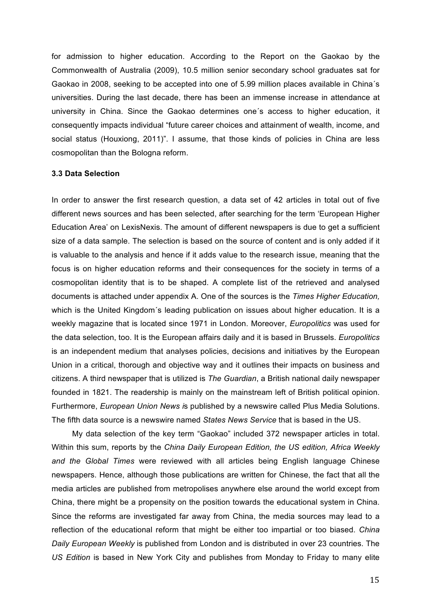for admission to higher education. According to the Report on the Gaokao by the Commonwealth of Australia (2009), 10.5 million senior secondary school graduates sat for Gaokao in 2008, seeking to be accepted into one of 5.99 million places available in China´s universities. During the last decade, there has been an immense increase in attendance at university in China. Since the Gaokao determines one´s access to higher education, it consequently impacts individual "future career choices and attainment of wealth, income, and social status (Houxiong, 2011)". I assume, that those kinds of policies in China are less cosmopolitan than the Bologna reform.

#### **3.3 Data Selection**

In order to answer the first research question, a data set of 42 articles in total out of five different news sources and has been selected, after searching for the term 'European Higher Education Area' on LexisNexis. The amount of different newspapers is due to get a sufficient size of a data sample. The selection is based on the source of content and is only added if it is valuable to the analysis and hence if it adds value to the research issue, meaning that the focus is on higher education reforms and their consequences for the society in terms of a cosmopolitan identity that is to be shaped. A complete list of the retrieved and analysed documents is attached under appendix A. One of the sources is the *Times Higher Education,*  which is the United Kingdom´s leading publication on issues about higher education. It is a weekly magazine that is located since 1971 in London. Moreover, *Europolitics* was used for the data selection, too. It is the European affairs daily and it is based in Brussels. *Europolitics* is an independent medium that analyses policies, decisions and initiatives by the European Union in a critical, thorough and objective way and it outlines their impacts on business and citizens. A third newspaper that is utilized is *The Guardian*, a British national daily newspaper founded in 1821. The readership is mainly on the mainstream left of British political opinion. Furthermore, *European Union News i*s published by a newswire called Plus Media Solutions. The fifth data source is a newswire named *States News Service* that is based in the US.

My data selection of the key term "Gaokao" included 372 newspaper articles in total. Within this sum, reports by the *China Daily European Edition, the US edition, Africa Weekly and the Global Times* were reviewed with all articles being English language Chinese newspapers. Hence, although those publications are written for Chinese, the fact that all the media articles are published from metropolises anywhere else around the world except from China, there might be a propensity on the position towards the educational system in China. Since the reforms are investigated far away from China, the media sources may lead to a reflection of the educational reform that might be either too impartial or too biased. *China Daily European Weekly* is published from London and is distributed in over 23 countries. The *US Edition* is based in New York City and publishes from Monday to Friday to many elite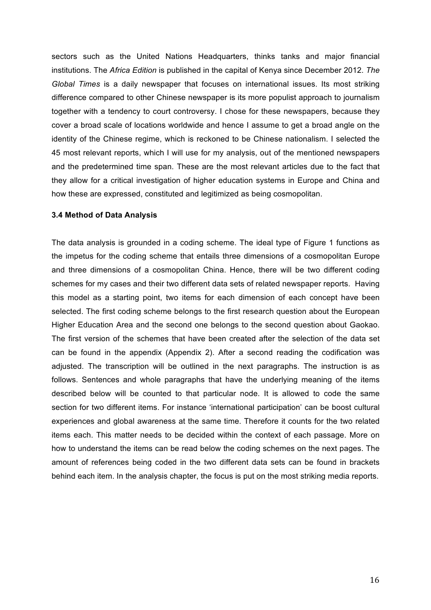sectors such as the United Nations Headquarters, thinks tanks and major financial institutions. The *Africa Edition* is published in the capital of Kenya since December 2012. *The Global Times* is a daily newspaper that focuses on international issues. Its most striking difference compared to other Chinese newspaper is its more populist approach to journalism together with a tendency to court controversy. I chose for these newspapers, because they cover a broad scale of locations worldwide and hence I assume to get a broad angle on the identity of the Chinese regime, which is reckoned to be Chinese nationalism. I selected the 45 most relevant reports, which I will use for my analysis, out of the mentioned newspapers and the predetermined time span. These are the most relevant articles due to the fact that they allow for a critical investigation of higher education systems in Europe and China and how these are expressed, constituted and legitimized as being cosmopolitan.

### **3.4 Method of Data Analysis**

The data analysis is grounded in a coding scheme. The ideal type of Figure 1 functions as the impetus for the coding scheme that entails three dimensions of a cosmopolitan Europe and three dimensions of a cosmopolitan China. Hence, there will be two different coding schemes for my cases and their two different data sets of related newspaper reports. Having this model as a starting point, two items for each dimension of each concept have been selected. The first coding scheme belongs to the first research question about the European Higher Education Area and the second one belongs to the second question about Gaokao. The first version of the schemes that have been created after the selection of the data set can be found in the appendix (Appendix 2). After a second reading the codification was adjusted. The transcription will be outlined in the next paragraphs. The instruction is as follows. Sentences and whole paragraphs that have the underlying meaning of the items described below will be counted to that particular node. It is allowed to code the same section for two different items. For instance 'international participation' can be boost cultural experiences and global awareness at the same time. Therefore it counts for the two related items each. This matter needs to be decided within the context of each passage. More on how to understand the items can be read below the coding schemes on the next pages. The amount of references being coded in the two different data sets can be found in brackets behind each item. In the analysis chapter, the focus is put on the most striking media reports.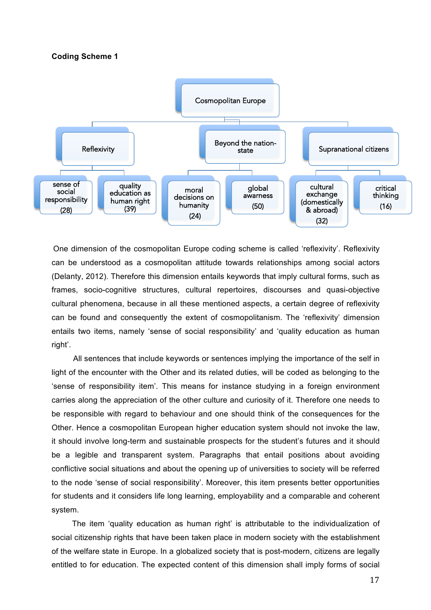#### **Coding Scheme 1**



One dimension of the cosmopolitan Europe coding scheme is called 'reflexivity'. Reflexivity can be understood as a cosmopolitan attitude towards relationships among social actors (Delanty, 2012). Therefore this dimension entails keywords that imply cultural forms, such as frames, socio-cognitive structures, cultural repertoires, discourses and quasi-objective cultural phenomena, because in all these mentioned aspects, a certain degree of reflexivity can be found and consequently the extent of cosmopolitanism. The 'reflexivity' dimension entails two items, namely 'sense of social responsibility' and 'quality education as human right'.

 All sentences that include keywords or sentences implying the importance of the self in light of the encounter with the Other and its related duties, will be coded as belonging to the 'sense of responsibility item'. This means for instance studying in a foreign environment carries along the appreciation of the other culture and curiosity of it. Therefore one needs to be responsible with regard to behaviour and one should think of the consequences for the Other. Hence a cosmopolitan European higher education system should not invoke the law, it should involve long-term and sustainable prospects for the student's futures and it should be a legible and transparent system. Paragraphs that entail positions about avoiding conflictive social situations and about the opening up of universities to society will be referred to the node 'sense of social responsibility'. Moreover, this item presents better opportunities for students and it considers life long learning, employability and a comparable and coherent system.

The item 'quality education as human right' is attributable to the individualization of social citizenship rights that have been taken place in modern society with the establishment of the welfare state in Europe. In a globalized society that is post-modern, citizens are legally entitled to for education. The expected content of this dimension shall imply forms of social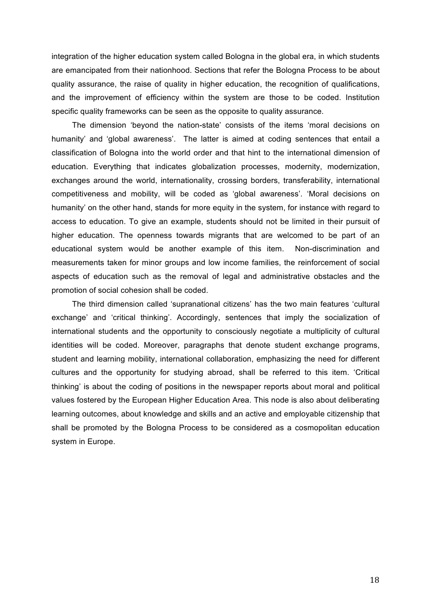integration of the higher education system called Bologna in the global era, in which students are emancipated from their nationhood. Sections that refer the Bologna Process to be about quality assurance, the raise of quality in higher education, the recognition of qualifications, and the improvement of efficiency within the system are those to be coded. Institution specific quality frameworks can be seen as the opposite to quality assurance.

The dimension 'beyond the nation-state' consists of the items 'moral decisions on humanity' and 'global awareness'. The latter is aimed at coding sentences that entail a classification of Bologna into the world order and that hint to the international dimension of education. Everything that indicates globalization processes, modernity, modernization, exchanges around the world, internationality, crossing borders, transferability, international competitiveness and mobility, will be coded as 'global awareness'. 'Moral decisions on humanity' on the other hand, stands for more equity in the system, for instance with regard to access to education. To give an example, students should not be limited in their pursuit of higher education. The openness towards migrants that are welcomed to be part of an educational system would be another example of this item. Non-discrimination and measurements taken for minor groups and low income families, the reinforcement of social aspects of education such as the removal of legal and administrative obstacles and the promotion of social cohesion shall be coded.

The third dimension called 'supranational citizens' has the two main features 'cultural exchange' and 'critical thinking'. Accordingly, sentences that imply the socialization of international students and the opportunity to consciously negotiate a multiplicity of cultural identities will be coded. Moreover, paragraphs that denote student exchange programs, student and learning mobility, international collaboration, emphasizing the need for different cultures and the opportunity for studying abroad, shall be referred to this item. 'Critical thinking' is about the coding of positions in the newspaper reports about moral and political values fostered by the European Higher Education Area. This node is also about deliberating learning outcomes, about knowledge and skills and an active and employable citizenship that shall be promoted by the Bologna Process to be considered as a cosmopolitan education system in Europe.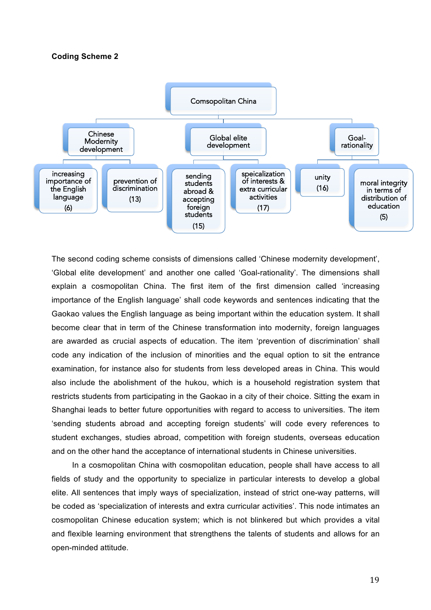#### **Coding Scheme 2**



The second coding scheme consists of dimensions called 'Chinese modernity development', 'Global elite development' and another one called 'Goal-rationality'. The dimensions shall explain a cosmopolitan China. The first item of the first dimension called 'increasing importance of the English language' shall code keywords and sentences indicating that the Gaokao values the English language as being important within the education system. It shall become clear that in term of the Chinese transformation into modernity, foreign languages are awarded as crucial aspects of education. The item 'prevention of discrimination' shall code any indication of the inclusion of minorities and the equal option to sit the entrance examination, for instance also for students from less developed areas in China. This would also include the abolishment of the hukou, which is a household registration system that restricts students from participating in the Gaokao in a city of their choice. Sitting the exam in Shanghai leads to better future opportunities with regard to access to universities. The item 'sending students abroad and accepting foreign students' will code every references to student exchanges, studies abroad, competition with foreign students, overseas education and on the other hand the acceptance of international students in Chinese universities.

In a cosmopolitan China with cosmopolitan education, people shall have access to all fields of study and the opportunity to specialize in particular interests to develop a global elite. All sentences that imply ways of specialization, instead of strict one-way patterns, will be coded as 'specialization of interests and extra curricular activities'. This node intimates an cosmopolitan Chinese education system; which is not blinkered but which provides a vital and flexible learning environment that strengthens the talents of students and allows for an open-minded attitude.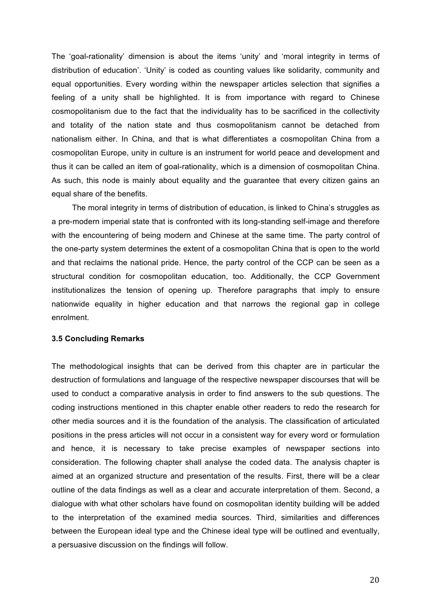The 'goal-rationality' dimension is about the items 'unity' and 'moral integrity in terms of distribution of education'. 'Unity' is coded as counting values like solidarity, community and equal opportunities. Every wording within the newspaper articles selection that signifies a feeling of a unity shall be highlighted. It is from importance with regard to Chinese cosmopolitanism due to the fact that the individuality has to be sacrificed in the collectivity and totality of the nation state and thus cosmopolitanism cannot be detached from nationalism either. In China, and that is what differentiates a cosmopolitan China from a cosmopolitan Europe, unity in culture is an instrument for world peace and development and thus it can be called an item of goal-rationality, which is a dimension of cosmopolitan China. As such, this node is mainly about equality and the guarantee that every citizen gains an equal share of the benefits.

The moral integrity in terms of distribution of education, is linked to China's struggles as a pre-modern imperial state that is confronted with its long-standing self-image and therefore with the encountering of being modern and Chinese at the same time. The party control of the one-party system determines the extent of a cosmopolitan China that is open to the world and that reclaims the national pride. Hence, the party control of the CCP can be seen as a structural condition for cosmopolitan education, too. Additionally, the CCP Government institutionalizes the tension of opening up. Therefore paragraphs that imply to ensure nationwide equality in higher education and that narrows the regional gap in college enrolment.

## **3.5 Concluding Remarks**

The methodological insights that can be derived from this chapter are in particular the destruction of formulations and language of the respective newspaper discourses that will be used to conduct a comparative analysis in order to find answers to the sub questions. The coding instructions mentioned in this chapter enable other readers to redo the research for other media sources and it is the foundation of the analysis. The classification of articulated positions in the press articles will not occur in a consistent way for every word or formulation and hence, it is necessary to take precise examples of newspaper sections into consideration. The following chapter shall analyse the coded data. The analysis chapter is aimed at an organized structure and presentation of the results. First, there will be a clear outline of the data findings as well as a clear and accurate interpretation of them. Second, a dialogue with what other scholars have found on cosmopolitan identity building will be added to the interpretation of the examined media sources. Third, similarities and differences between the European ideal type and the Chinese ideal type will be outlined and eventually, a persuasive discussion on the findings will follow.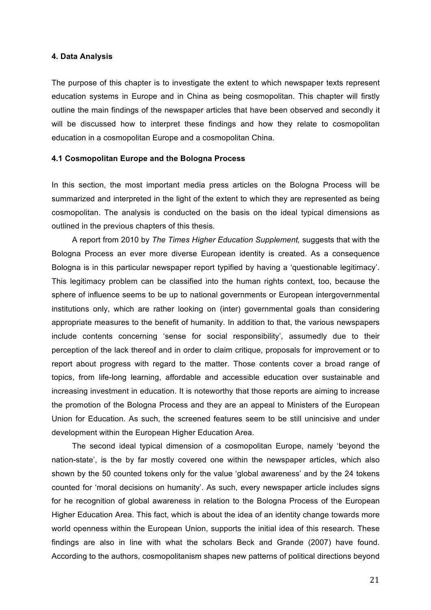#### **4. Data Analysis**

The purpose of this chapter is to investigate the extent to which newspaper texts represent education systems in Europe and in China as being cosmopolitan. This chapter will firstly outline the main findings of the newspaper articles that have been observed and secondly it will be discussed how to interpret these findings and how they relate to cosmopolitan education in a cosmopolitan Europe and a cosmopolitan China.

#### **4.1 Cosmopolitan Europe and the Bologna Process**

In this section, the most important media press articles on the Bologna Process will be summarized and interpreted in the light of the extent to which they are represented as being cosmopolitan. The analysis is conducted on the basis on the ideal typical dimensions as outlined in the previous chapters of this thesis.

A report from 2010 by *The Times Higher Education Supplement,* suggests that with the Bologna Process an ever more diverse European identity is created. As a consequence Bologna is in this particular newspaper report typified by having a 'questionable legitimacy'. This legitimacy problem can be classified into the human rights context, too, because the sphere of influence seems to be up to national governments or European intergovernmental institutions only, which are rather looking on (inter) governmental goals than considering appropriate measures to the benefit of humanity. In addition to that, the various newspapers include contents concerning 'sense for social responsibility', assumedly due to their perception of the lack thereof and in order to claim critique, proposals for improvement or to report about progress with regard to the matter. Those contents cover a broad range of topics, from life-long learning, affordable and accessible education over sustainable and increasing investment in education. It is noteworthy that those reports are aiming to increase the promotion of the Bologna Process and they are an appeal to Ministers of the European Union for Education. As such, the screened features seem to be still unincisive and under development within the European Higher Education Area.

The second ideal typical dimension of a cosmopolitan Europe, namely 'beyond the nation-state', is the by far mostly covered one within the newspaper articles, which also shown by the 50 counted tokens only for the value 'global awareness' and by the 24 tokens counted for 'moral decisions on humanity'. As such, every newspaper article includes signs for he recognition of global awareness in relation to the Bologna Process of the European Higher Education Area. This fact, which is about the idea of an identity change towards more world openness within the European Union, supports the initial idea of this research. These findings are also in line with what the scholars Beck and Grande (2007) have found. According to the authors, cosmopolitanism shapes new patterns of political directions beyond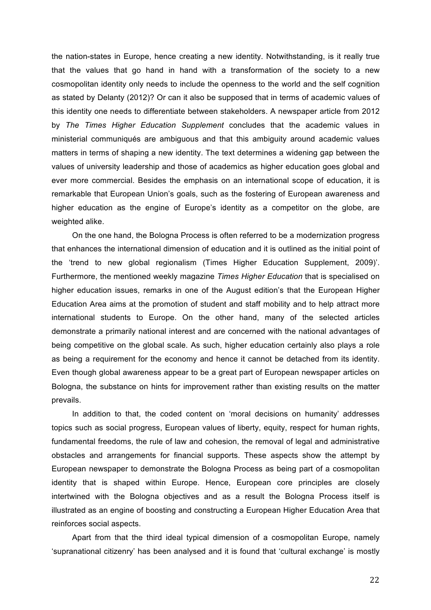the nation-states in Europe, hence creating a new identity. Notwithstanding, is it really true that the values that go hand in hand with a transformation of the society to a new cosmopolitan identity only needs to include the openness to the world and the self cognition as stated by Delanty (2012)? Or can it also be supposed that in terms of academic values of this identity one needs to differentiate between stakeholders. A newspaper article from 2012 by *The Times Higher Education Supplement* concludes that the academic values in ministerial communiqués are ambiguous and that this ambiguity around academic values matters in terms of shaping a new identity. The text determines a widening gap between the values of university leadership and those of academics as higher education goes global and ever more commercial. Besides the emphasis on an international scope of education, it is remarkable that European Union's goals, such as the fostering of European awareness and higher education as the engine of Europe's identity as a competitor on the globe, are weighted alike.

On the one hand, the Bologna Process is often referred to be a modernization progress that enhances the international dimension of education and it is outlined as the initial point of the 'trend to new global regionalism (Times Higher Education Supplement, 2009)'. Furthermore, the mentioned weekly magazine *Times Higher Education* that is specialised on higher education issues, remarks in one of the August edition's that the European Higher Education Area aims at the promotion of student and staff mobility and to help attract more international students to Europe. On the other hand, many of the selected articles demonstrate a primarily national interest and are concerned with the national advantages of being competitive on the global scale. As such, higher education certainly also plays a role as being a requirement for the economy and hence it cannot be detached from its identity. Even though global awareness appear to be a great part of European newspaper articles on Bologna, the substance on hints for improvement rather than existing results on the matter prevails.

In addition to that, the coded content on 'moral decisions on humanity' addresses topics such as social progress, European values of liberty, equity, respect for human rights, fundamental freedoms, the rule of law and cohesion, the removal of legal and administrative obstacles and arrangements for financial supports. These aspects show the attempt by European newspaper to demonstrate the Bologna Process as being part of a cosmopolitan identity that is shaped within Europe. Hence, European core principles are closely intertwined with the Bologna objectives and as a result the Bologna Process itself is illustrated as an engine of boosting and constructing a European Higher Education Area that reinforces social aspects.

Apart from that the third ideal typical dimension of a cosmopolitan Europe, namely 'supranational citizenry' has been analysed and it is found that 'cultural exchange' is mostly

22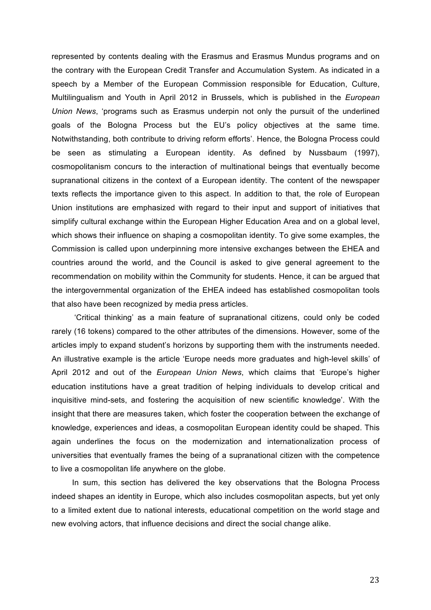represented by contents dealing with the Erasmus and Erasmus Mundus programs and on the contrary with the European Credit Transfer and Accumulation System. As indicated in a speech by a Member of the European Commission responsible for Education, Culture, Multilingualism and Youth in April 2012 in Brussels, which is published in the *European Union News*, 'programs such as Erasmus underpin not only the pursuit of the underlined goals of the Bologna Process but the EU's policy objectives at the same time. Notwithstanding, both contribute to driving reform efforts'. Hence, the Bologna Process could be seen as stimulating a European identity. As defined by Nussbaum (1997), cosmopolitanism concurs to the interaction of multinational beings that eventually become supranational citizens in the context of a European identity. The content of the newspaper texts reflects the importance given to this aspect. In addition to that, the role of European Union institutions are emphasized with regard to their input and support of initiatives that simplify cultural exchange within the European Higher Education Area and on a global level, which shows their influence on shaping a cosmopolitan identity. To give some examples, the Commission is called upon underpinning more intensive exchanges between the EHEA and countries around the world, and the Council is asked to give general agreement to the recommendation on mobility within the Community for students. Hence, it can be argued that the intergovernmental organization of the EHEA indeed has established cosmopolitan tools that also have been recognized by media press articles.

'Critical thinking' as a main feature of supranational citizens, could only be coded rarely (16 tokens) compared to the other attributes of the dimensions. However, some of the articles imply to expand student's horizons by supporting them with the instruments needed. An illustrative example is the article 'Europe needs more graduates and high-level skills' of April 2012 and out of the *European Union News*, which claims that 'Europe's higher education institutions have a great tradition of helping individuals to develop critical and inquisitive mind-sets, and fostering the acquisition of new scientific knowledge'. With the insight that there are measures taken, which foster the cooperation between the exchange of knowledge, experiences and ideas, a cosmopolitan European identity could be shaped. This again underlines the focus on the modernization and internationalization process of universities that eventually frames the being of a supranational citizen with the competence to live a cosmopolitan life anywhere on the globe.

In sum, this section has delivered the key observations that the Bologna Process indeed shapes an identity in Europe, which also includes cosmopolitan aspects, but yet only to a limited extent due to national interests, educational competition on the world stage and new evolving actors, that influence decisions and direct the social change alike.

23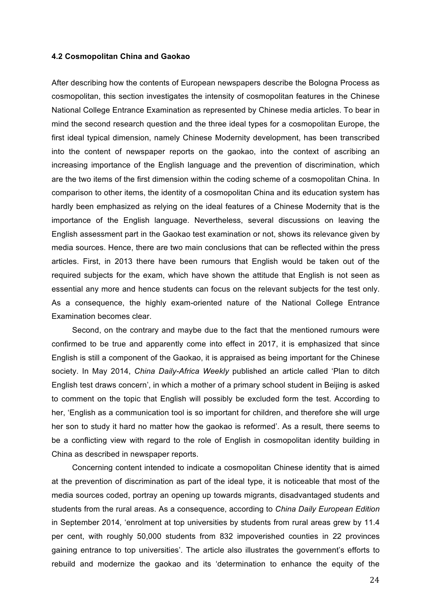#### **4.2 Cosmopolitan China and Gaokao**

After describing how the contents of European newspapers describe the Bologna Process as cosmopolitan, this section investigates the intensity of cosmopolitan features in the Chinese National College Entrance Examination as represented by Chinese media articles. To bear in mind the second research question and the three ideal types for a cosmopolitan Europe, the first ideal typical dimension, namely Chinese Modernity development, has been transcribed into the content of newspaper reports on the gaokao, into the context of ascribing an increasing importance of the English language and the prevention of discrimination, which are the two items of the first dimension within the coding scheme of a cosmopolitan China. In comparison to other items, the identity of a cosmopolitan China and its education system has hardly been emphasized as relying on the ideal features of a Chinese Modernity that is the importance of the English language. Nevertheless, several discussions on leaving the English assessment part in the Gaokao test examination or not, shows its relevance given by media sources. Hence, there are two main conclusions that can be reflected within the press articles. First, in 2013 there have been rumours that English would be taken out of the required subjects for the exam, which have shown the attitude that English is not seen as essential any more and hence students can focus on the relevant subjects for the test only. As a consequence, the highly exam-oriented nature of the National College Entrance Examination becomes clear.

Second, on the contrary and maybe due to the fact that the mentioned rumours were confirmed to be true and apparently come into effect in 2017, it is emphasized that since English is still a component of the Gaokao, it is appraised as being important for the Chinese society. In May 2014, *China Daily-Africa Weekly* published an article called 'Plan to ditch English test draws concern', in which a mother of a primary school student in Beijing is asked to comment on the topic that English will possibly be excluded form the test. According to her, 'English as a communication tool is so important for children, and therefore she will urge her son to study it hard no matter how the gaokao is reformed'. As a result, there seems to be a conflicting view with regard to the role of English in cosmopolitan identity building in China as described in newspaper reports.

Concerning content intended to indicate a cosmopolitan Chinese identity that is aimed at the prevention of discrimination as part of the ideal type, it is noticeable that most of the media sources coded, portray an opening up towards migrants, disadvantaged students and students from the rural areas. As a consequence, according to *China Daily European Edition*  in September 2014*,* 'enrolment at top universities by students from rural areas grew by 11.4 per cent, with roughly 50,000 students from 832 impoverished counties in 22 provinces gaining entrance to top universities'. The article also illustrates the government's efforts to rebuild and modernize the gaokao and its 'determination to enhance the equity of the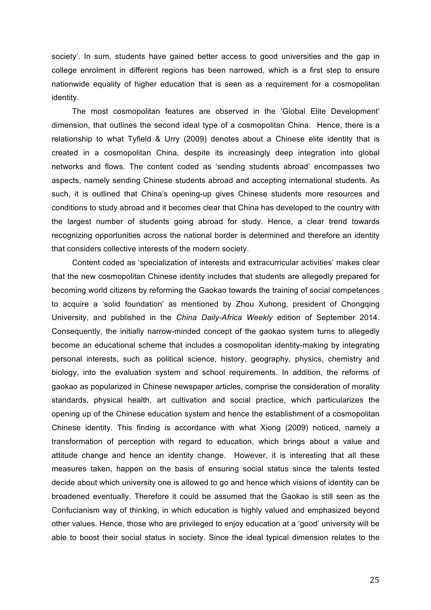society'. In sum, students have gained better access to good universities and the gap in college enrolment in different regions has been narrowed, which is a first step to ensure nationwide equality of higher education that is seen as a requirement for a cosmopolitan identity.

The most cosmopolitan features are observed in the 'Global Elite Development' dimension, that outlines the second ideal type of a cosmopolitan China. Hence, there is a relationship to what Tyfield & Urry (2009) denotes about a Chinese elite identity that is created in a cosmopolitan China, despite its increasingly deep integration into global networks and flows. The content coded as 'sending students abroad' encompasses two aspects, namely sending Chinese students abroad and accepting international students. As such, it is outlined that China's opening-up gives Chinese students more resources and conditions to study abroad and it becomes clear that China has developed to the country with the largest number of students going abroad for study. Hence, a clear trend towards recognizing opportunities across the national border is determined and therefore an identity that considers collective interests of the modern society.

Content coded as 'specialization of interests and extracurricular activities' makes clear that the new cosmopolitan Chinese identity includes that students are allegedly prepared for becoming world citizens by reforming the Gaokao towards the training of social competences to acquire a 'solid foundation' as mentioned by Zhou Xuhong, president of Chongqing University, and published in the *China Daily-Africa Weekly* edition of September 2014. Consequently, the initially narrow-minded concept of the gaokao system turns to allegedly become an educational scheme that includes a cosmopolitan identity-making by integrating personal interests, such as political science, history, geography, physics, chemistry and biology, into the evaluation system and school requirements. In addition, the reforms of gaokao as popularized in Chinese newspaper articles, comprise the consideration of morality standards, physical health, art cultivation and social practice, which particularizes the opening up of the Chinese education system and hence the establishment of a cosmopolitan Chinese identity. This finding is accordance with what Xiong (2009) noticed, namely a transformation of perception with regard to education, which brings about a value and attitude change and hence an identity change. However, it is interesting that all these measures taken, happen on the basis of ensuring social status since the talents tested decide about which university one is allowed to go and hence which visions of identity can be broadened eventually. Therefore it could be assumed that the Gaokao is still seen as the Confucianism way of thinking, in which education is highly valued and emphasized beyond other values. Hence, those who are privileged to enjoy education at a 'good' university will be able to boost their social status in society. Since the ideal typical dimension relates to the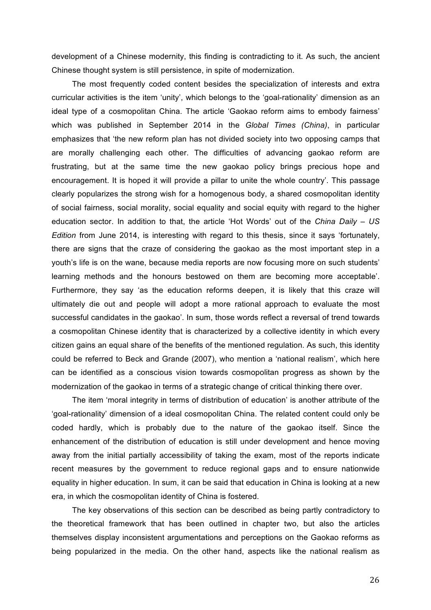development of a Chinese modernity, this finding is contradicting to it. As such, the ancient Chinese thought system is still persistence, in spite of modernization.

The most frequently coded content besides the specialization of interests and extra curricular activities is the item 'unity', which belongs to the 'goal-rationality' dimension as an ideal type of a cosmopolitan China. The article 'Gaokao reform aims to embody fairness' which was published in September 2014 in the *Global Times (China)*, in particular emphasizes that 'the new reform plan has not divided society into two opposing camps that are morally challenging each other. The difficulties of advancing gaokao reform are frustrating, but at the same time the new gaokao policy brings precious hope and encouragement. It is hoped it will provide a pillar to unite the whole country'. This passage clearly popularizes the strong wish for a homogenous body, a shared cosmopolitan identity of social fairness, social morality, social equality and social equity with regard to the higher education sector. In addition to that, the article 'Hot Words' out of the *China Daily – US Edition* from June 2014, is interesting with regard to this thesis, since it says 'fortunately, there are signs that the craze of considering the gaokao as the most important step in a youth's life is on the wane, because media reports are now focusing more on such students' learning methods and the honours bestowed on them are becoming more acceptable'. Furthermore, they say 'as the education reforms deepen, it is likely that this craze will ultimately die out and people will adopt a more rational approach to evaluate the most successful candidates in the gaokao'. In sum, those words reflect a reversal of trend towards a cosmopolitan Chinese identity that is characterized by a collective identity in which every citizen gains an equal share of the benefits of the mentioned regulation. As such, this identity could be referred to Beck and Grande (2007), who mention a 'national realism', which here can be identified as a conscious vision towards cosmopolitan progress as shown by the modernization of the gaokao in terms of a strategic change of critical thinking there over.

The item 'moral integrity in terms of distribution of education' is another attribute of the 'goal-rationality' dimension of a ideal cosmopolitan China. The related content could only be coded hardly, which is probably due to the nature of the gaokao itself. Since the enhancement of the distribution of education is still under development and hence moving away from the initial partially accessibility of taking the exam, most of the reports indicate recent measures by the government to reduce regional gaps and to ensure nationwide equality in higher education. In sum, it can be said that education in China is looking at a new era, in which the cosmopolitan identity of China is fostered.

The key observations of this section can be described as being partly contradictory to the theoretical framework that has been outlined in chapter two, but also the articles themselves display inconsistent argumentations and perceptions on the Gaokao reforms as being popularized in the media. On the other hand, aspects like the national realism as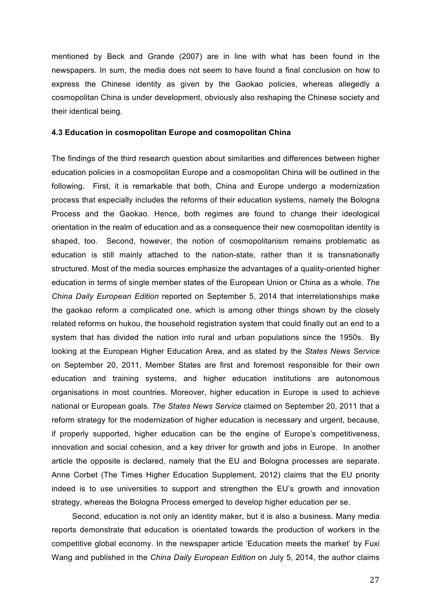mentioned by Beck and Grande (2007) are in line with what has been found in the newspapers. In sum, the media does not seem to have found a final conclusion on how to express the Chinese identity as given by the Gaokao policies, whereas allegedly a cosmopolitan China is under development, obviously also reshaping the Chinese society and their identical being.

#### **4.3 Education in cosmopolitan Europe and cosmopolitan China**

The findings of the third research question about similarities and differences between higher education policies in a cosmopolitan Europe and a cosmopolitan China will be outlined in the following. First, it is remarkable that both, China and Europe undergo a modernization process that especially includes the reforms of their education systems, namely the Bologna Process and the Gaokao. Hence, both regimes are found to change their ideological orientation in the realm of education and as a consequence their new cosmopolitan identity is shaped, too. Second, however, the notion of cosmopolitanism remains problematic as education is still mainly attached to the nation-state, rather than it is transnationally structured. Most of the media sources emphasize the advantages of a quality-oriented higher education in terms of single member states of the European Union or China as a whole. *The China Daily European Edition* reported on September 5, 2014 that interrelationships make the gaokao reform a complicated one, which is among other things shown by the closely related reforms on hukou, the household registration system that could finally out an end to a system that has divided the nation into rural and urban populations since the 1950s. By looking at the European Higher Education Area, and as stated by the *States News Service* on September 20, 2011, Member States are first and foremost responsible for their own education and training systems, and higher education institutions are autonomous organisations in most countries. Moreover, higher education in Europe is used to achieve national or European goals. *The States News Service* claimed on September 20, 2011 that a reform strategy for the modernization of higher education is necessary and urgent, because, if properly supported, higher education can be the engine of Europe's competitiveness, innovation and social cohesion, and a key driver for growth and jobs in Europe. In another article the opposite is declared, namely that the EU and Bologna processes are separate. Anne Corbet (The Times Higher Education Supplement, 2012) claims that the EU priority indeed is to use universities to support and strengthen the EU's growth and innovation strategy, whereas the Bologna Process emerged to develop higher education per se.

Second, education is not only an identity maker, but it is also a business. Many media reports demonstrate that education is orientated towards the production of workers in the competitive global economy. In the newspaper article 'Education meets the market' by Fuxi Wang and published in the *China Daily European Edition* on July 5, 2014, the author claims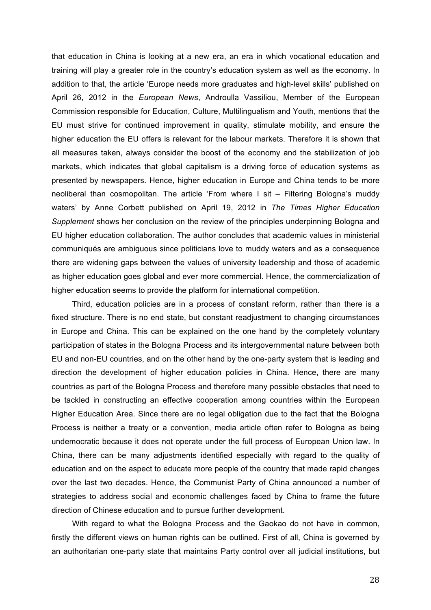that education in China is looking at a new era, an era in which vocational education and training will play a greater role in the country's education system as well as the economy. In addition to that, the article 'Europe needs more graduates and high-level skills' published on April 26, 2012 in the *European News*, Androulla Vassiliou, Member of the European Commission responsible for Education, Culture, Multilingualism and Youth, mentions that the EU must strive for continued improvement in quality, stimulate mobility, and ensure the higher education the EU offers is relevant for the labour markets. Therefore it is shown that all measures taken, always consider the boost of the economy and the stabilization of job markets, which indicates that global capitalism is a driving force of education systems as presented by newspapers. Hence, higher education in Europe and China tends to be more neoliberal than cosmopolitan. The article 'From where I sit – Filtering Bologna's muddy waters' by Anne Corbett published on April 19, 2012 in *The Times Higher Education Supplement* shows her conclusion on the review of the principles underpinning Bologna and EU higher education collaboration. The author concludes that academic values in ministerial communiqués are ambiguous since politicians love to muddy waters and as a consequence there are widening gaps between the values of university leadership and those of academic as higher education goes global and ever more commercial. Hence, the commercialization of higher education seems to provide the platform for international competition.

Third, education policies are in a process of constant reform, rather than there is a fixed structure. There is no end state, but constant readjustment to changing circumstances in Europe and China. This can be explained on the one hand by the completely voluntary participation of states in the Bologna Process and its intergovernmental nature between both EU and non-EU countries, and on the other hand by the one-party system that is leading and direction the development of higher education policies in China. Hence, there are many countries as part of the Bologna Process and therefore many possible obstacles that need to be tackled in constructing an effective cooperation among countries within the European Higher Education Area. Since there are no legal obligation due to the fact that the Bologna Process is neither a treaty or a convention, media article often refer to Bologna as being undemocratic because it does not operate under the full process of European Union law. In China, there can be many adjustments identified especially with regard to the quality of education and on the aspect to educate more people of the country that made rapid changes over the last two decades. Hence, the Communist Party of China announced a number of strategies to address social and economic challenges faced by China to frame the future direction of Chinese education and to pursue further development.

With regard to what the Bologna Process and the Gaokao do not have in common, firstly the different views on human rights can be outlined. First of all, China is governed by an authoritarian one-party state that maintains Party control over all judicial institutions, but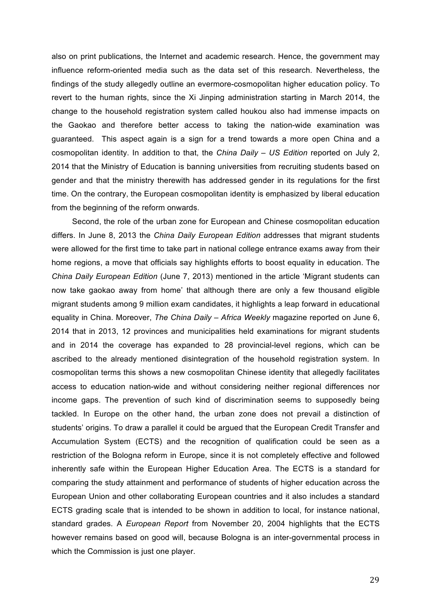also on print publications, the Internet and academic research. Hence, the government may influence reform-oriented media such as the data set of this research. Nevertheless, the findings of the study allegedly outline an evermore-cosmopolitan higher education policy. To revert to the human rights, since the Xi Jinping administration starting in March 2014, the change to the household registration system called houkou also had immense impacts on the Gaokao and therefore better access to taking the nation-wide examination was guaranteed. This aspect again is a sign for a trend towards a more open China and a cosmopolitan identity. In addition to that, the *China Daily – US Edition* reported on July 2, 2014 that the Ministry of Education is banning universities from recruiting students based on gender and that the ministry therewith has addressed gender in its regulations for the first time. On the contrary, the European cosmopolitan identity is emphasized by liberal education from the beginning of the reform onwards.

Second, the role of the urban zone for European and Chinese cosmopolitan education differs. In June 8, 2013 the *China Daily European Edition* addresses that migrant students were allowed for the first time to take part in national college entrance exams away from their home regions, a move that officials say highlights efforts to boost equality in education. The *China Daily European Edition* (June 7, 2013) mentioned in the article 'Migrant students can now take gaokao away from home' that although there are only a few thousand eligible migrant students among 9 million exam candidates, it highlights a leap forward in educational equality in China. Moreover, *The China Daily – Africa Weekly* magazine reported on June 6, 2014 that in 2013, 12 provinces and municipalities held examinations for migrant students and in 2014 the coverage has expanded to 28 provincial-level regions, which can be ascribed to the already mentioned disintegration of the household registration system. In cosmopolitan terms this shows a new cosmopolitan Chinese identity that allegedly facilitates access to education nation-wide and without considering neither regional differences nor income gaps. The prevention of such kind of discrimination seems to supposedly being tackled. In Europe on the other hand, the urban zone does not prevail a distinction of students' origins. To draw a parallel it could be argued that the European Credit Transfer and Accumulation System (ECTS) and the recognition of qualification could be seen as a restriction of the Bologna reform in Europe, since it is not completely effective and followed inherently safe within the European Higher Education Area. The ECTS is a standard for comparing the study attainment and performance of students of higher education across the European Union and other collaborating European countries and it also includes a standard ECTS grading scale that is intended to be shown in addition to local, for instance national, standard grades. A *European Report* from November 20, 2004 highlights that the ECTS however remains based on good will, because Bologna is an inter-governmental process in which the Commission is just one player.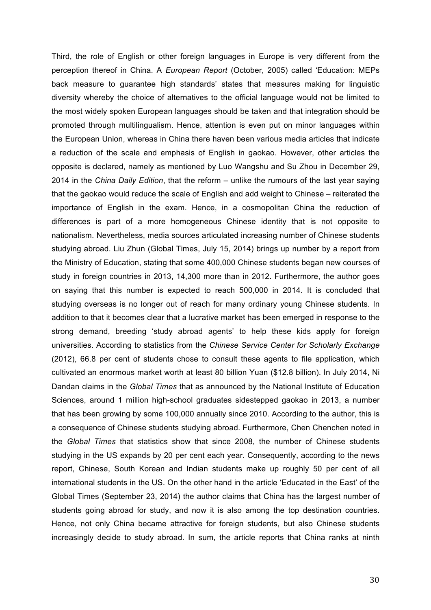Third, the role of English or other foreign languages in Europe is very different from the perception thereof in China. A *European Report* (October, 2005) called 'Education: MEPs back measure to guarantee high standards' states that measures making for linguistic diversity whereby the choice of alternatives to the official language would not be limited to the most widely spoken European languages should be taken and that integration should be promoted through multilingualism. Hence, attention is even put on minor languages within the European Union, whereas in China there haven been various media articles that indicate a reduction of the scale and emphasis of English in gaokao. However, other articles the opposite is declared, namely as mentioned by Luo Wangshu and Su Zhou in December 29, 2014 in the *China Daily Edition*, that the reform – unlike the rumours of the last year saying that the gaokao would reduce the scale of English and add weight to Chinese – reiterated the importance of English in the exam. Hence, in a cosmopolitan China the reduction of differences is part of a more homogeneous Chinese identity that is not opposite to nationalism. Nevertheless, media sources articulated increasing number of Chinese students studying abroad. Liu Zhun (Global Times, July 15, 2014) brings up number by a report from the Ministry of Education, stating that some 400,000 Chinese students began new courses of study in foreign countries in 2013, 14,300 more than in 2012. Furthermore, the author goes on saying that this number is expected to reach 500,000 in 2014. It is concluded that studying overseas is no longer out of reach for many ordinary young Chinese students. In addition to that it becomes clear that a lucrative market has been emerged in response to the strong demand, breeding 'study abroad agents' to help these kids apply for foreign universities. According to statistics from the *Chinese Service Center for Scholarly Exchange* (2012), 66.8 per cent of students chose to consult these agents to file application, which cultivated an enormous market worth at least 80 billion Yuan (\$12.8 billion). In July 2014, Ni Dandan claims in the *Global Times* that as announced by the National Institute of Education Sciences, around 1 million high-school graduates sidestepped gaokao in 2013, a number that has been growing by some 100,000 annually since 2010. According to the author, this is a consequence of Chinese students studying abroad. Furthermore, Chen Chenchen noted in the *Global Times* that statistics show that since 2008, the number of Chinese students studying in the US expands by 20 per cent each year. Consequently, according to the news report, Chinese, South Korean and Indian students make up roughly 50 per cent of all international students in the US. On the other hand in the article 'Educated in the East' of the Global Times (September 23, 2014) the author claims that China has the largest number of students going abroad for study, and now it is also among the top destination countries. Hence, not only China became attractive for foreign students, but also Chinese students increasingly decide to study abroad. In sum, the article reports that China ranks at ninth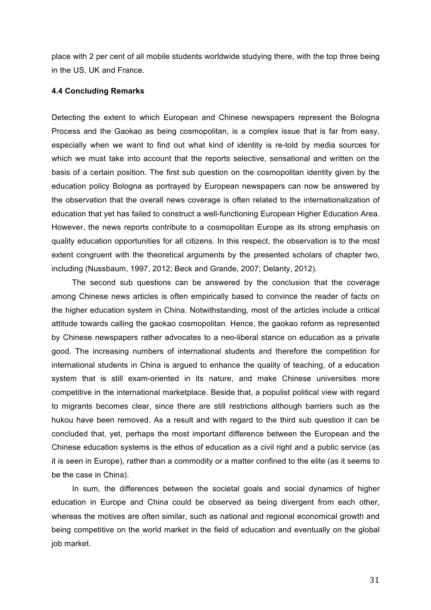place with 2 per cent of all mobile students worldwide studying there, with the top three being in the US, UK and France.

### **4.4 Concluding Remarks**

Detecting the extent to which European and Chinese newspapers represent the Bologna Process and the Gaokao as being cosmopolitan, is a complex issue that is far from easy, especially when we want to find out what kind of identity is re-told by media sources for which we must take into account that the reports selective, sensational and written on the basis of a certain position. The first sub question on the cosmopolitan identity given by the education policy Bologna as portrayed by European newspapers can now be answered by the observation that the overall news coverage is often related to the internationalization of education that yet has failed to construct a well-functioning European Higher Education Area. However, the news reports contribute to a cosmopolitan Europe as its strong emphasis on quality education opportunities for all citizens. In this respect, the observation is to the most extent congruent with the theoretical arguments by the presented scholars of chapter two, including (Nussbaum, 1997, 2012; Beck and Grande, 2007; Delanty, 2012).

The second sub questions can be answered by the conclusion that the coverage among Chinese news articles is often empirically based to convince the reader of facts on the higher education system in China. Notwithstanding, most of the articles include a critical attitude towards calling the gaokao cosmopolitan. Hence, the gaokao reform as represented by Chinese newspapers rather advocates to a neo-liberal stance on education as a private good. The increasing numbers of international students and therefore the competition for international students in China is argued to enhance the quality of teaching, of a education system that is still exam-oriented in its nature, and make Chinese universities more competitive in the international marketplace. Beside that, a populist political view with regard to migrants becomes clear, since there are still restrictions although barriers such as the hukou have been removed. As a result and with regard to the third sub question it can be concluded that, yet, perhaps the most important difference between the European and the Chinese education systems is the ethos of education as a civil right and a public service (as it is seen in Europe), rather than a commodity or a matter confined to the elite (as it seems to be the case in China).

In sum, the differences between the societal goals and social dynamics of higher education in Europe and China could be observed as being divergent from each other, whereas the motives are often similar, such as national and regional economical growth and being competitive on the world market in the field of education and eventually on the global job market.

31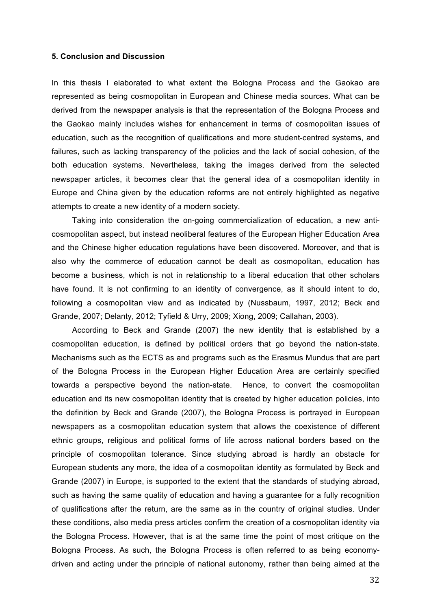#### **5. Conclusion and Discussion**

In this thesis I elaborated to what extent the Bologna Process and the Gaokao are represented as being cosmopolitan in European and Chinese media sources. What can be derived from the newspaper analysis is that the representation of the Bologna Process and the Gaokao mainly includes wishes for enhancement in terms of cosmopolitan issues of education, such as the recognition of qualifications and more student-centred systems, and failures, such as lacking transparency of the policies and the lack of social cohesion, of the both education systems. Nevertheless, taking the images derived from the selected newspaper articles, it becomes clear that the general idea of a cosmopolitan identity in Europe and China given by the education reforms are not entirely highlighted as negative attempts to create a new identity of a modern society.

Taking into consideration the on-going commercialization of education, a new anticosmopolitan aspect, but instead neoliberal features of the European Higher Education Area and the Chinese higher education regulations have been discovered. Moreover, and that is also why the commerce of education cannot be dealt as cosmopolitan, education has become a business, which is not in relationship to a liberal education that other scholars have found. It is not confirming to an identity of convergence, as it should intent to do, following a cosmopolitan view and as indicated by (Nussbaum, 1997, 2012; Beck and Grande, 2007; Delanty, 2012; Tyfield & Urry, 2009; Xiong, 2009; Callahan, 2003).

According to Beck and Grande (2007) the new identity that is established by a cosmopolitan education, is defined by political orders that go beyond the nation-state. Mechanisms such as the ECTS as and programs such as the Erasmus Mundus that are part of the Bologna Process in the European Higher Education Area are certainly specified towards a perspective beyond the nation-state. Hence, to convert the cosmopolitan education and its new cosmopolitan identity that is created by higher education policies, into the definition by Beck and Grande (2007), the Bologna Process is portrayed in European newspapers as a cosmopolitan education system that allows the coexistence of different ethnic groups, religious and political forms of life across national borders based on the principle of cosmopolitan tolerance. Since studying abroad is hardly an obstacle for European students any more, the idea of a cosmopolitan identity as formulated by Beck and Grande (2007) in Europe, is supported to the extent that the standards of studying abroad, such as having the same quality of education and having a guarantee for a fully recognition of qualifications after the return, are the same as in the country of original studies. Under these conditions, also media press articles confirm the creation of a cosmopolitan identity via the Bologna Process. However, that is at the same time the point of most critique on the Bologna Process. As such, the Bologna Process is often referred to as being economydriven and acting under the principle of national autonomy, rather than being aimed at the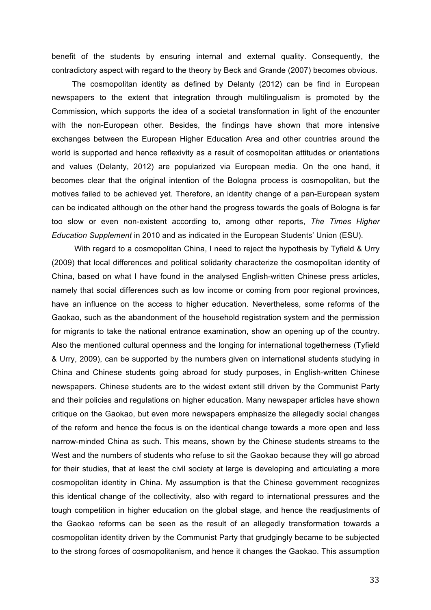benefit of the students by ensuring internal and external quality. Consequently, the contradictory aspect with regard to the theory by Beck and Grande (2007) becomes obvious.

The cosmopolitan identity as defined by Delanty (2012) can be find in European newspapers to the extent that integration through multilingualism is promoted by the Commission, which supports the idea of a societal transformation in light of the encounter with the non-European other. Besides, the findings have shown that more intensive exchanges between the European Higher Education Area and other countries around the world is supported and hence reflexivity as a result of cosmopolitan attitudes or orientations and values (Delanty, 2012) are popularized via European media. On the one hand, it becomes clear that the original intention of the Bologna process is cosmopolitan, but the motives failed to be achieved yet. Therefore, an identity change of a pan-European system can be indicated although on the other hand the progress towards the goals of Bologna is far too slow or even non-existent according to, among other reports, *The Times Higher Education Supplement* in 2010 and as indicated in the European Students' Union (ESU).

With regard to a cosmopolitan China, I need to reject the hypothesis by Tyfield & Urry (2009) that local differences and political solidarity characterize the cosmopolitan identity of China, based on what I have found in the analysed English-written Chinese press articles, namely that social differences such as low income or coming from poor regional provinces, have an influence on the access to higher education. Nevertheless, some reforms of the Gaokao, such as the abandonment of the household registration system and the permission for migrants to take the national entrance examination, show an opening up of the country. Also the mentioned cultural openness and the longing for international togetherness (Tyfield & Urry, 2009), can be supported by the numbers given on international students studying in China and Chinese students going abroad for study purposes, in English-written Chinese newspapers. Chinese students are to the widest extent still driven by the Communist Party and their policies and regulations on higher education. Many newspaper articles have shown critique on the Gaokao, but even more newspapers emphasize the allegedly social changes of the reform and hence the focus is on the identical change towards a more open and less narrow-minded China as such. This means, shown by the Chinese students streams to the West and the numbers of students who refuse to sit the Gaokao because they will go abroad for their studies, that at least the civil society at large is developing and articulating a more cosmopolitan identity in China. My assumption is that the Chinese government recognizes this identical change of the collectivity, also with regard to international pressures and the tough competition in higher education on the global stage, and hence the readjustments of the Gaokao reforms can be seen as the result of an allegedly transformation towards a cosmopolitan identity driven by the Communist Party that grudgingly became to be subjected to the strong forces of cosmopolitanism, and hence it changes the Gaokao. This assumption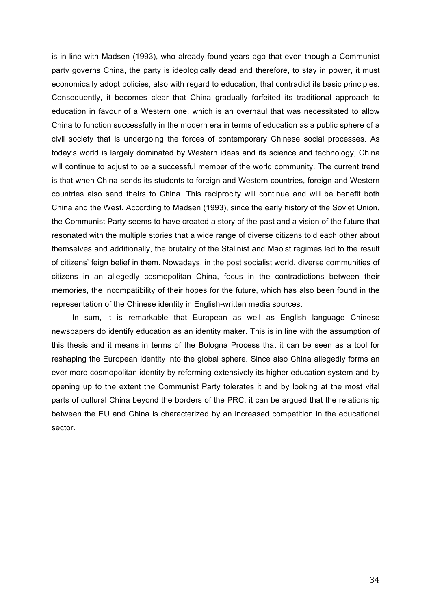is in line with Madsen (1993), who already found years ago that even though a Communist party governs China, the party is ideologically dead and therefore, to stay in power, it must economically adopt policies, also with regard to education, that contradict its basic principles. Consequently, it becomes clear that China gradually forfeited its traditional approach to education in favour of a Western one, which is an overhaul that was necessitated to allow China to function successfully in the modern era in terms of education as a public sphere of a civil society that is undergoing the forces of contemporary Chinese social processes. As today's world is largely dominated by Western ideas and its science and technology, China will continue to adjust to be a successful member of the world community. The current trend is that when China sends its students to foreign and Western countries, foreign and Western countries also send theirs to China. This reciprocity will continue and will be benefit both China and the West. According to Madsen (1993), since the early history of the Soviet Union, the Communist Party seems to have created a story of the past and a vision of the future that resonated with the multiple stories that a wide range of diverse citizens told each other about themselves and additionally, the brutality of the Stalinist and Maoist regimes led to the result of citizens' feign belief in them. Nowadays, in the post socialist world, diverse communities of citizens in an allegedly cosmopolitan China, focus in the contradictions between their memories, the incompatibility of their hopes for the future, which has also been found in the representation of the Chinese identity in English-written media sources.

In sum, it is remarkable that European as well as English language Chinese newspapers do identify education as an identity maker. This is in line with the assumption of this thesis and it means in terms of the Bologna Process that it can be seen as a tool for reshaping the European identity into the global sphere. Since also China allegedly forms an ever more cosmopolitan identity by reforming extensively its higher education system and by opening up to the extent the Communist Party tolerates it and by looking at the most vital parts of cultural China beyond the borders of the PRC, it can be argued that the relationship between the EU and China is characterized by an increased competition in the educational sector.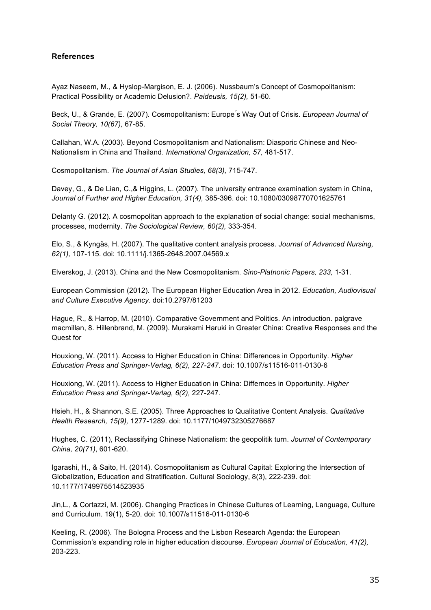## **References**

Ayaz Naseem, M., & Hyslop-Margison, E. J. (2006). Nussbaum's Concept of Cosmopolitanism: Practical Possibility or Academic Delusion?. *Paideusis, 15(2),* 51-60.

Beck, U., & Grande, E. (2007). Cosmopolitanism: Europe ́s Way Out of Crisis. *European Journal of Social Theory, 10(67),* 67-85.

Callahan, W.A. (2003). Beyond Cosmopolitanism and Nationalism: Diasporic Chinese and Neo-Nationalism in China and Thailand. *International Organization, 57,* 481-517.

Cosmopolitanism. *The Journal of Asian Studies, 68(3),* 715-747.

Davey, G., & De Lian, C.,& Higgins, L. (2007). The university entrance examination system in China, *Journal of Further and Higher Education, 31(4),* 385-396. doi: 10.1080/03098770701625761

Delanty G. (2012). A cosmopolitan approach to the explanation of social change: social mechanisms, processes, modernity. *The Sociological Review, 60(2),* 333-354.

Elo, S., & Kyngäs, H. (2007). The qualitative content analysis process. *Journal of Advanced Nursing, 62(1),* 107-115. doi: 10.1111/j.1365-2648.2007.04569.x

Elverskog, J. (2013). China and the New Cosmopolitanism. *Sino-Platnonic Papers, 233,* 1-31.

European Commission (2012). The European Higher Education Area in 2012. *Education, Audiovisual and Culture Executive Agency.* doi:10.2797/81203

Hague, R., & Harrop, M. (2010). Comparative Government and Politics. An introduction. palgrave macmillan, 8. Hillenbrand, M. (2009). Murakami Haruki in Greater China: Creative Responses and the Quest for

Houxiong, W. (2011). Access to Higher Education in China: Differences in Opportunity. *Higher Education Press and Springer-Verlag, 6(2), 227-247.* doi: 10.1007/s11516-011-0130-6

Houxiong, W. (2011). Access to Higher Education in China: Differnces in Opportunity. *Higher Education Press and Springer-Verlag, 6(2),* 227-247.

Hsieh, H., & Shannon, S.E. (2005). Three Approaches to Qualitative Content Analysis. *Qualitative Health Research, 15(9),* 1277-1289. doi: 10.1177/1049732305276687

Hughes, C. (2011), Reclassifying Chinese Nationalism: the geopolitik turn. *Journal of Contemporary China, 20(71)*, 601-620.

Igarashi, H., & Saito, H. (2014). Cosmopolitanism as Cultural Capital: Exploring the Intersection of Globalization, Education and Stratification. Cultural Sociology, 8(3), 222-239. doi: 10.1177/1749975514523935

Jin,L., & Cortazzi, M. (2006). Changing Practices in Chinese Cultures of Learning, Language, Culture and Curriculum. 19(1), 5-20. doi: 10.1007/s11516-011-0130-6

Keeling, R. (2006). The Bologna Process and the Lisbon Research Agenda: the European Commission's expanding role in higher education discourse. *European Journal of Education, 41(2),*  203-223.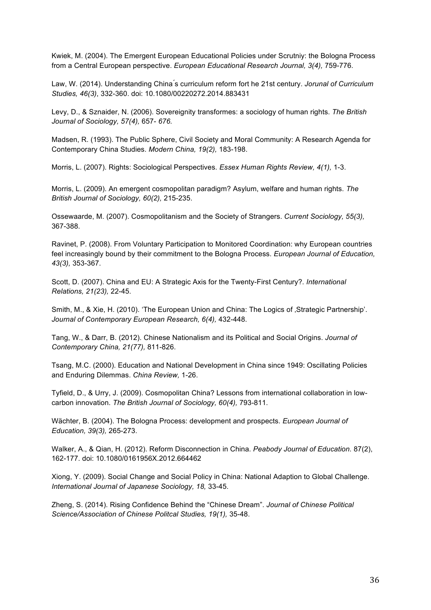Kwiek, M. (2004). The Emergent European Educational Policies under Scrutniy: the Bologna Process from a Central European perspective. *European Educational Research Journal, 3(4),* 759-776.

Law, W. (2014). Understanding China ́s curriculum reform fort he 21st century. *Jorunal of Curriculum Studies, 46(3)*, 332-360. doi: 10.1080/00220272.2014.883431

Levy, D., & Sznaider, N. (2006). Sovereignity transformes: a sociology of human rights. *The British Journal of Sociology, 57(4),* 657- *676.* 

Madsen, R. (1993). The Public Sphere, Civil Society and Moral Community: A Research Agenda for Contemporary China Studies. *Modern China, 19(2),* 183-198.

Morris, L. (2007). Rights: Sociological Perspectives. *Essex Human Rights Review, 4(1),* 1-3.

Morris, L. (2009). An emergent cosmopolitan paradigm? Asylum, welfare and human rights. *The British Journal of Sociology, 60(2),* 215-235.

Ossewaarde, M. (2007). Cosmopolitanism and the Society of Strangers. *Current Sociology, 55(3),*  367-388.

Ravinet, P. (2008). From Voluntary Participation to Monitored Coordination: why European countries feel increasingly bound by their commitment to the Bologna Process. *European Journal of Education, 43(3),* 353-367.

Scott, D. (2007). China and EU: A Strategic Axis for the Twenty-First Century?. *International Relations, 21(23),* 22-45.

Smith, M., & Xie, H. (2010). 'The European Union and China: The Logics of , Strategic Partnership'. *Journal of Contemporary European Research, 6(4),* 432-448.

Tang, W., & Darr, B. (2012). Chinese Nationalism and its Political and Social Origins. *Journal of Contemporary China, 21(77),* 811-826.

Tsang, M.C. (2000). Education and National Development in China since 1949: Oscillating Policies and Enduring Dilemmas. *China Review,* 1-26.

Tyfield, D., & Urry, J. (2009). Cosmopolitan China? Lessons from international collaboration in lowcarbon innovation. *The British Journal of Sociology, 60(4),* 793-811.

Wächter, B. (2004). The Bologna Process: development and prospects. *European Journal of Education, 39(3),* 265-273.

Walker, A., & Qian, H. (2012). Reform Disconnection in China. *Peabody Journal of Education.* 87(2), 162-177. doi: 10.1080/0161956X.2012.664462

Xiong, Y. (2009). Social Change and Social Policy in China: National Adaption to Global Challenge. *International Journal of Japanese Sociology, 18,* 33-45.

Zheng, S. (2014). Rising Confidence Behind the "Chinese Dream". *Journal of Chinese Political Science/Association of Chinese Politcal Studies, 19(1),* 35-48.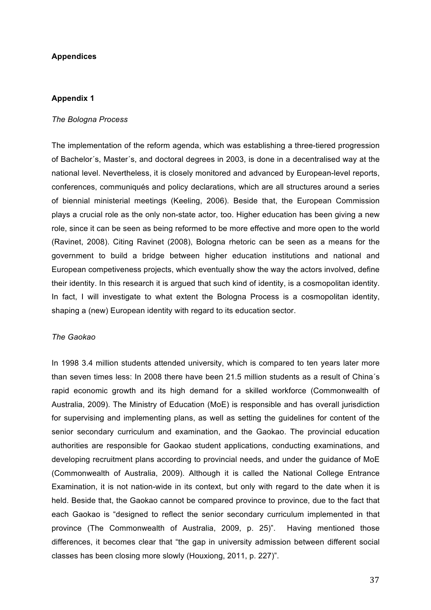## **Appendices**

## **Appendix 1**

#### *The Bologna Process*

The implementation of the reform agenda, which was establishing a three-tiered progression of Bachelor´s, Master´s, and doctoral degrees in 2003, is done in a decentralised way at the national level. Nevertheless, it is closely monitored and advanced by European-level reports, conferences, communiqués and policy declarations, which are all structures around a series of biennial ministerial meetings (Keeling, 2006). Beside that, the European Commission plays a crucial role as the only non-state actor, too. Higher education has been giving a new role, since it can be seen as being reformed to be more effective and more open to the world (Ravinet, 2008). Citing Ravinet (2008), Bologna rhetoric can be seen as a means for the government to build a bridge between higher education institutions and national and European competiveness projects, which eventually show the way the actors involved, define their identity. In this research it is argued that such kind of identity, is a cosmopolitan identity. In fact, I will investigate to what extent the Bologna Process is a cosmopolitan identity, shaping a (new) European identity with regard to its education sector.

## *The Gaokao*

In 1998 3.4 million students attended university, which is compared to ten years later more than seven times less: In 2008 there have been 21.5 million students as a result of China´s rapid economic growth and its high demand for a skilled workforce (Commonwealth of Australia, 2009). The Ministry of Education (MoE) is responsible and has overall jurisdiction for supervising and implementing plans, as well as setting the guidelines for content of the senior secondary curriculum and examination, and the Gaokao. The provincial education authorities are responsible for Gaokao student applications, conducting examinations, and developing recruitment plans according to provincial needs, and under the guidance of MoE (Commonwealth of Australia, 2009). Although it is called the National College Entrance Examination, it is not nation-wide in its context, but only with regard to the date when it is held. Beside that, the Gaokao cannot be compared province to province, due to the fact that each Gaokao is "designed to reflect the senior secondary curriculum implemented in that province (The Commonwealth of Australia, 2009, p. 25)". Having mentioned those differences, it becomes clear that "the gap in university admission between different social classes has been closing more slowly (Houxiong, 2011, p. 227)".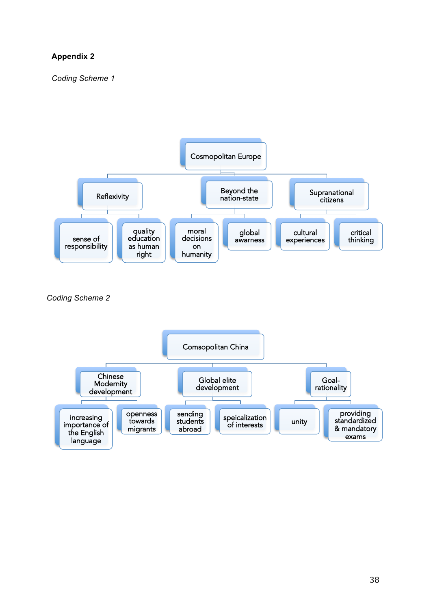## **Appendix 2**

*Coding Scheme 1*



 *Coding Scheme 2*

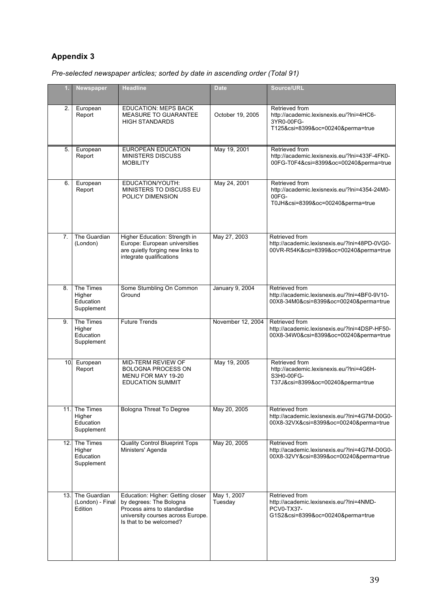# **Appendix 3**

*Pre-selected newspaper articles; sorted by date in ascending order (Total 91)* 

|     | Newspaper                                          | <b>Headline</b>                                                                                                                                             | <b>Date</b>            | Source/URL                                                                                                           |
|-----|----------------------------------------------------|-------------------------------------------------------------------------------------------------------------------------------------------------------------|------------------------|----------------------------------------------------------------------------------------------------------------------|
| 2.  | European<br>Report                                 | <b>EDUCATION: MEPS BACK</b><br>MEASURE TO GUARANTEE<br><b>HIGH STANDARDS</b>                                                                                | October 19, 2005       | Retrieved from<br>http://academic.lexisnexis.eu/?lni=4HC6-<br>3YR0-00FG-<br>T125&csi=8399&oc=00240&perma=true        |
| 5.  | European<br>Report                                 | <b>EUROPEAN EDUCATION</b><br><b>MINISTERS DISCUSS</b><br><b>MOBILITY</b>                                                                                    | May 19, 2001           | Retrieved from<br>http://academic.lexisnexis.eu/?lni=433F-4FK0-<br>00FG-T0F4&csi=8399&oc=00240&perma=true            |
| 6.  | European<br>Report                                 | EDUCATION/YOUTH:<br>MINISTERS TO DISCUSS EU<br>POLICY DIMENSION                                                                                             | May 24, 2001           | Retrieved from<br>http://academic.lexisnexis.eu/?lni=4354-24M0-<br>00FG-<br>T0JH&csi=8399&oc=00240&perma=true        |
| 7.  | The Guardian<br>(London)                           | Higher Education: Strength in<br>Europe: European universities<br>are quietly forging new links to<br>integrate qualifications                              | May 27, 2003           | Retrieved from<br>http://academic.lexisnexis.eu/?lni=48PD-0VG0-<br>00VR-R54K&csi=8399&oc=00240&perma=true            |
| 8.  | The Times<br>Higher<br>Education<br>Supplement     | Some Stumbling On Common<br>Ground                                                                                                                          | <b>January 9, 2004</b> | Retrieved from<br>http://academic.lexisnexis.eu/?lni=4BF0-9V10-<br>00X8-34M0&csi=8399&oc=00240&perma=true            |
| 9.  | The Times<br>Higher<br>Education<br>Supplement     | <b>Future Trends</b>                                                                                                                                        | November 12, 2004      | Retrieved from<br>http://academic.lexisnexis.eu/?lni=4DSP-HF50-<br>00X8-34W0&csi=8399&oc=00240&perma=true            |
| 10. | European<br>Report                                 | MID-TERM REVIEW OF<br><b>BOLOGNA PROCESS ON</b><br>MENU FOR MAY 19-20<br><b>EDUCATION SUMMIT</b>                                                            | May 19, 2005           | Retrieved from<br>http://academic.lexisnexis.eu/?lni=4G6H-<br>S3H0-00FG-<br>T37J&csi=8399&oc=00240&perma=true        |
|     | 11. The Times<br>Higher<br>Education<br>Supplement | Bologna Threat To Degree                                                                                                                                    | May 20, 2005           | Retrieved from<br>http://academic.lexisnexis.eu/?lni=4G7M-D0G0-<br>00X8-32VX&csi=8399&oc=00240&perma=true            |
|     | 12. The Times<br>Higher<br>Education<br>Supplement | <b>Quality Control Blueprint Tops</b><br>Ministers' Agenda                                                                                                  | May 20, 2005           | Retrieved from<br>http://academic.lexisnexis.eu/?lni=4G7M-D0G0-<br>00X8-32VY&csi=8399&oc=00240&perma=true            |
|     | 13. The Guardian<br>(London) - Final<br>Edition    | Education: Higher: Getting closer<br>by degrees: The Bologna<br>Process aims to standardise<br>university courses across Europe.<br>Is that to be welcomed? | May 1, 2007<br>Tuesday | Retrieved from<br>http://academic.lexisnexis.eu/?lni=4NMD-<br><b>PCV0-TX37-</b><br>G1S2&csi=8399&oc=00240&perma=true |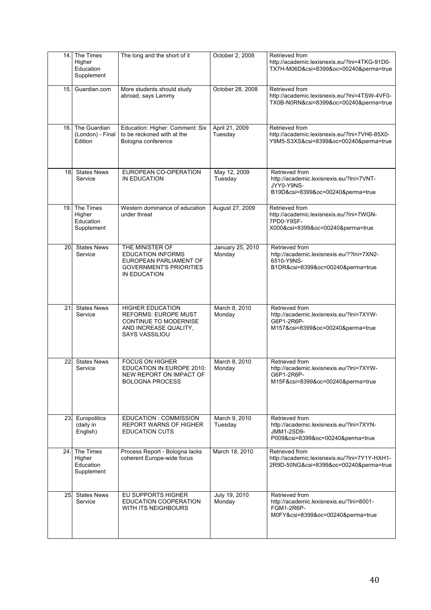| 14. | The Times<br>Higher<br>Education<br>Supplement | The long and the short of it                                                                                                      | October 2, 2008            | Retrieved from<br>http://academic.lexisnexis.eu/?lni=4TKG-91D0-<br>TX7H-M06D&csi=8399&oc=00240&perma=true      |
|-----|------------------------------------------------|-----------------------------------------------------------------------------------------------------------------------------------|----------------------------|----------------------------------------------------------------------------------------------------------------|
| 15. | Guardian.com                                   | More students should study<br>abroad, says Lammy                                                                                  | October 28, 2008           | Retrieved from<br>http://academic.lexisnexis.eu/?lni=4TSW-4VF0-<br>TX0B-N0RN&csi=8399&oc=00240&perma=true      |
| 16. | The Guardian<br>(London) - Final<br>Edition    | Education: Higher: Comment: Six<br>to be reckoned with at the<br>Bologna conference                                               | April 21, 2009<br>Tuesday  | Retrieved from<br>http://academic.lexisnexis.eu/?lni=7VH6-85X0-<br>Y9M5-S3XS&csi=8399&oc=00240&perma=true      |
| 18. | <b>States News</b><br>Service                  | EUROPEAN CO-OPERATION<br>IN EDUCATION                                                                                             | May 12, 2009<br>Tuesday    | Retrieved from<br>http://academic.lexisnexis.eu/?lni=7VNT-<br>JYY0-Y9NS-<br>B19D&csi=8399&oc=00240&perma=true  |
| 19. | The Times<br>Higher<br>Education<br>Supplement | Western dominance of education<br>under threat                                                                                    | August 27, 2009            | Retrieved from<br>http://academic.lexisnexis.eu/?lni=7WGN-<br>7PD0-Y9SF-<br>X000&csi=8399&oc=00240&perma=true  |
| 20. | <b>States News</b><br>Service                  | THE MINISTER OF<br><b>EDUCATION INFORMS</b><br>EUROPEAN PARLIAMENT OF<br><b>GOVERNMENT'S PRIORITIES</b><br>IN EDUCATION           | January 25, 2010<br>Monday | Retrieved from<br>http://academic.lexisnexis.eu/??lni=7XN2-<br>6510-Y9NS-<br>B1DR&csi=8399&oc=00240&perma=true |
| 21  | <b>States News</b><br>Service                  | <b>HIGHER EDUCATION</b><br><b>REFORMS: EUROPE MUST</b><br>CONTINUE TO MODERNISE<br>AND INCREASE QUALITY,<br><b>SAYS VASSILIOU</b> | March 8, 2010<br>Monday    | Retrieved from<br>http://academic.lexisnexis.eu/?lni=7XYW-<br>G6P1-2R6P-<br>M157&csi=8399&oc=00240&perma=true  |
| 22. | <b>States News</b><br>Service                  | <b>FOCUS ON HIGHER</b><br><b>EDUCATION IN EUROPE 2010:</b><br>NEW REPORT ON IMPACT OF<br><b>BOLOGNA PROCESS</b>                   | March 8, 2010<br>Monday    | Retrieved from<br>http://academic.lexisnexis.eu/?lni=7XYW-<br>G6P1-2R6P-<br>M15F&csi=8399&oc=00240&perma=true  |
| 23. | Europolitics<br>(daily in<br>English)          | EDUCATION : COMMISSION<br><b>REPORT WARNS OF HIGHER</b><br><b>EDUCATION CUTS</b>                                                  | March 9, 2010<br>Tuesday   | Retrieved from<br>http://academic.lexisnexis.eu/?lni=7XYN-<br>JMM1-2SD9-<br>P009&csi=8399&oc=00240&perma=true  |
| 24. | The Times<br>Higher<br>Education<br>Supplement | Process Report - Bologna lacks<br>coherent Europe-wide focus                                                                      | March 18, 2010             | Retrieved from<br>http://academic.lexisnexis.eu/?lni=7Y1Y-HXH1-<br>2R9D-50NG&csi=8399&oc=00240&perma=true      |
| 25. | <b>States News</b><br>Service                  | EU SUPPORTS HIGHER<br>EDUCATION COOPERATION<br>WITH ITS NEIGHBOURS                                                                | July 19, 2010<br>Monday    | Retrieved from<br>http://academic.lexisnexis.eu/?lni=8001-<br>FGM1-2R6P-<br>M0FY&csi=8399&oc=00240&perma=true  |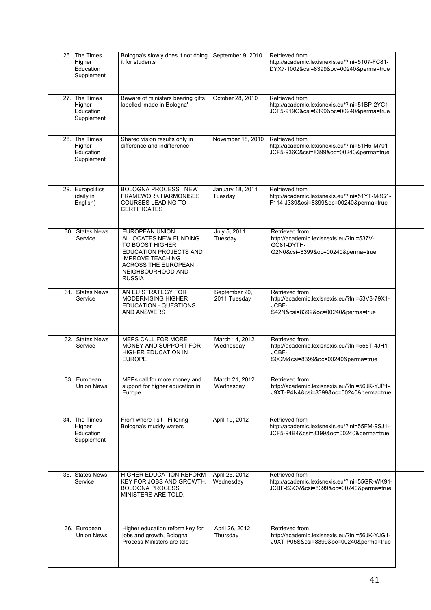|                 | 26. The Times<br>Higher<br>Education<br>Supplement | Bologna's slowly does it not doing<br>it for students                                                                                                                               | September 9, 2010             | Retrieved from<br>http://academic.lexisnexis.eu/?lni=5107-FC81-<br>DYX7-1002&csi=8399&oc=00240&perma=true     |  |
|-----------------|----------------------------------------------------|-------------------------------------------------------------------------------------------------------------------------------------------------------------------------------------|-------------------------------|---------------------------------------------------------------------------------------------------------------|--|
|                 | 27. The Times<br>Higher<br>Education<br>Supplement | Beware of ministers bearing gifts<br>labelled 'made in Bologna'                                                                                                                     | October 28, 2010              | Retrieved from<br>http://academic.lexisnexis.eu/?lni=51BP-2YC1-<br>JCF5-919G&csi=8399&oc=00240&perma=true     |  |
| 28.1            | The Times<br>Higher<br>Education<br>Supplement     | Shared vision results only in<br>difference and indifference                                                                                                                        | November 18, 2010             | Retrieved from<br>http://academic.lexisnexis.eu/?lni=51H5-M701-<br>JCF5-936C&csi=8399&oc=00240&perma=true     |  |
|                 | 29. Europolitics<br>(daily in<br>English)          | <b>BOLOGNA PROCESS: NEW</b><br><b>FRAMEWORK HARMONISES</b><br><b>COURSES LEADING TO</b><br><b>CERTIFICATES</b>                                                                      | January 18, 2011<br>Tuesday   | Retrieved from<br>http://academic.lexisnexis.eu/?lni=51YT-M8G1-<br>F114-J339&csi=8399&oc=00240&perma=true     |  |
| 30 <sub>1</sub> | <b>States News</b><br>Service                      | EUROPEAN UNION<br>ALLOCATES NEW FUNDING<br>TO BOOST HIGHER<br>EDUCATION PROJECTS AND<br><b>IMPROVE TEACHING</b><br><b>ACROSS THE EUROPEAN</b><br>NEIGHBOURHOOD AND<br><b>RUSSIA</b> | July 5, 2011<br>Tuesday       | Retrieved from<br>http://academic.lexisnexis.eu/?lni=537V-<br>GC81-DYTH-<br>G2N0&csi=8399&oc=00240&perma=true |  |
| 31              | <b>States News</b><br>Service                      | AN EU STRATEGY FOR<br><b>MODERNISING HIGHER</b><br>EDUCATION - QUESTIONS<br><b>AND ANSWERS</b>                                                                                      | September 20,<br>2011 Tuesday | Retrieved from<br>http://academic.lexisnexis.eu/?lni=53V8-79X1-<br>JCBF-<br>S42N&csi=8399&oc=00240&perma=true |  |
| 32.             | <b>States News</b><br>Service                      | MEPS CALL FOR MORE<br>MONEY AND SUPPORT FOR<br><b>HIGHER EDUCATION IN</b><br><b>EUROPE</b>                                                                                          | March 14, 2012<br>Wednesday   | Retrieved from<br>http://academic.lexisnexis.eu/?lni=555T-4JH1-<br>JCBF-<br>S0CM&csi=8399&oc=00240&perma=true |  |
|                 | 33. European<br><b>Union News</b>                  | MEPs call for more money and<br>support for higher education in<br>Europe                                                                                                           | March 21, 2012<br>Wednesday   | Retrieved from<br>http://academic.lexisnexis.eu/?lni=56JK-YJP1-<br>J9XT-P4N4&csi=8399&oc=00240&perma=true     |  |
|                 | 34. The Times<br>Higher<br>Education<br>Supplement | From where I sit - Filtering<br>Bologna's muddy waters                                                                                                                              | April 19, 2012                | Retrieved from<br>http://academic.lexisnexis.eu/?lni=55FM-9SJ1-<br>JCF5-94B4&csi=8399&oc=00240&perma=true     |  |
| 35.             | <b>States News</b><br>Service                      | <b>HIGHER EDUCATION REFORM</b><br>KEY FOR JOBS AND GROWTH,<br><b>BOLOGNA PROCESS</b><br>MINISTERS ARE TOLD.                                                                         | April 25, 2012<br>Wednesday   | Retrieved from<br>http://academic.lexisnexis.eu/?lni=55GR-WK91-<br>JCBF-S3CV&csi=8399&oc=00240&perma=true     |  |
| 36.             | European<br><b>Union News</b>                      | Higher education reform key for<br>jobs and growth, Bologna<br>Process Ministers are told                                                                                           | April 26, 2012<br>Thursday    | Retrieved from<br>http://academic.lexisnexis.eu/?lni=56JK-YJG1-<br>J9XT-P05S&csi=8399&oc=00240&perma=true     |  |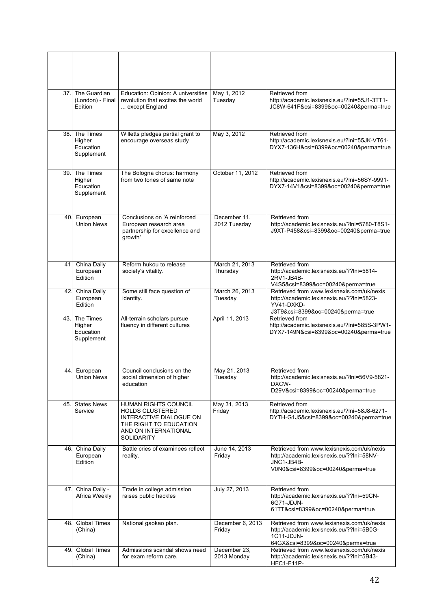| 37. | The Guardian<br>(London) - Final<br>Edition    | Education: Opinion: A universities<br>revolution that excites the world<br>except England                                                 | May 1, 2012<br>Tuesday       | Retrieved from<br>http://academic.lexisnexis.eu/?lni=55J1-3TT1-<br>JC8W-641F&csi=8399&oc=00240&perma=true                                  |
|-----|------------------------------------------------|-------------------------------------------------------------------------------------------------------------------------------------------|------------------------------|--------------------------------------------------------------------------------------------------------------------------------------------|
| 38. | The Times<br>Higher<br>Education<br>Supplement | Willetts pledges partial grant to<br>encourage overseas study                                                                             | May 3, 2012                  | Retrieved from<br>http://academic.lexisnexis.eu/?lni=55JK-VT61-<br>DYX7-136H&csi=8399&oc=00240&perma=true                                  |
| 39. | The Times<br>Higher<br>Education<br>Supplement | The Bologna chorus: harmony<br>from two tones of same note                                                                                | October 11, 2012             | Retrieved from<br>http://academic.lexisnexis.eu/?lni=56SY-9991-<br>DYX7-14V1&csi=8399&oc=00240&perma=true                                  |
| 40. | European<br><b>Union News</b>                  | Conclusions on 'A reinforced<br>European research area<br>partnership for excellence and<br>growth'                                       | December 11,<br>2012 Tuesday | Retrieved from<br>http://academic.lexisnexis.eu/?lni=5780-T8S1-<br>J9XT-P458&csi=8399&oc=00240&perma=true                                  |
| 41. | China Daily<br>European<br>Edition             | Reform hukou to release<br>society's vitality.                                                                                            | March 21, 2013<br>Thursday   | Retrieved from<br>http://academic.lexisnexis.eu/??lni=5814-<br>2RV1-JB4B-<br>V4S5&csi=8399&oc=00240&perma=true                             |
| 42  | <b>China Daily</b><br>European<br>Edition      | Some still face question of<br>identity.                                                                                                  | March 26, 2013<br>Tuesday    | Retrieved from www.lexisnexis.com/uk/nexis<br>http://academic.lexisnexis.eu/??lni=5823-<br>YV41-DXKD-<br>J3T9&csi=8399&oc=00240&perma=true |
| 43. | The Times<br>Higher<br>Education<br>Supplement | All-terrain scholars pursue<br>fluency in different cultures                                                                              | April 11, 2013               | Retrieved from<br>http://academic.lexisnexis.eu/?lni=585S-3PW1-<br>DYX7-149N&csi=8399&oc=00240&perma=true                                  |
| 44. | European<br>Union News                         | Council conclusions on the<br>social dimension of higher<br>education                                                                     | May 21, 2013<br>Tuesday      | Retrieved from<br>http://academic.lexisnexis.eu/?lni=56V9-5821-<br>DXCW-<br>D29V&csi=8399&oc=00240&perma=true                              |
|     | 45. States News<br>Service                     | HUMAN RIGHTS COUNCIL<br><b>HOLDS CLUSTERED</b><br>INTERACTIVE DIALOGUE ON<br>THE RIGHT TO EDUCATION<br>AND ON INTERNATIONAL<br>SOLIDARITY | May 31, 2013<br>Friday       | Retrieved from<br>http://academic.lexisnexis.eu/?lni=58J8-6271-<br>DYTH-G1J5&csi=8399&oc=00240&perma=true                                  |
| 46  | China Daily<br>European<br>Edition             | Battle cries of examinees reflect<br>reality.                                                                                             | June 14, 2013<br>Friday      | Retrieved from www.lexisnexis.com/uk/nexis<br>http://academic.lexisnexis.eu/??lni=58NV-<br>JNC1-JB4B-<br>V0N0&csi=8399&oc=00240&perma=true |
| 47. | China Daily -<br>Africa Weekly                 | Trade in college admission<br>raises public hackles                                                                                       | July 27, 2013                | Retrieved from<br>http://academic.lexisnexis.eu/??lni=59CN-<br>6G71-JDJN-<br>61TT&csi=8399&oc=00240&perma=true                             |
| 48. | <b>Global Times</b><br>(China)                 | National gaokao plan.                                                                                                                     | December 6, 2013<br>Friday   | Retrieved from www.lexisnexis.com/uk/nexis<br>http://academic.lexisnexis.eu/??lni=5B0G-<br>1C11-JDJN-<br>64GX&csi=8399&oc=00240&perma=true |
| 49. | <b>Global Times</b><br>(China)                 | Admissions scandal shows need<br>for exam reform care.                                                                                    | December 23,<br>2013 Monday  | Retrieved from www.lexisnexis.com/uk/nexis<br>http://academic.lexisnexis.eu/??lni=5B43-<br>HFC1-F11P-                                      |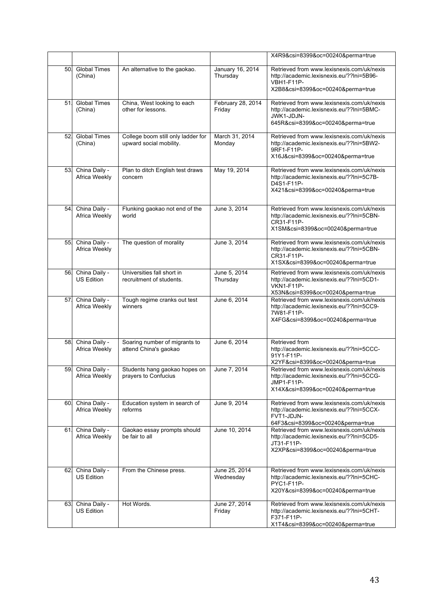|     |                                    |                                                               |                              | X4R9&csi=8399&oc=00240&perma=true                                                                                                                 |
|-----|------------------------------------|---------------------------------------------------------------|------------------------------|---------------------------------------------------------------------------------------------------------------------------------------------------|
| 50. | <b>Global Times</b><br>(China)     | An alternative to the gaokao.                                 | January 16, 2014<br>Thursday | Retrieved from www.lexisnexis.com/uk/nexis<br>http://academic.lexisnexis.eu/??lni=5B96-<br><b>VBH1-F11P-</b><br>X2B8&csi=8399&oc=00240&perma=true |
| 51  | <b>Global Times</b><br>(China)     | China, West looking to each<br>other for lessons.             | February 28, 2014<br>Friday  | Retrieved from www.lexisnexis.com/uk/nexis<br>http://academic.lexisnexis.eu/??lni=5BMC-<br>JWK1-JDJN-<br>645R&csi=8399&oc=00240&perma=true        |
| 52. | <b>Global Times</b><br>(China)     | College boom still only ladder for<br>upward social mobility. | March 31, 2014<br>Monday     | Retrieved from www.lexisnexis.com/uk/nexis<br>http://academic.lexisnexis.eu/??lni=5BW2-<br>9RF1-F11P-<br>X16J&csi=8399&oc=00240&perma=true        |
| 53. | China Daily -<br>Africa Weekly     | Plan to ditch English test draws<br>concern                   | May 19, 2014                 | Retrieved from www.lexisnexis.com/uk/nexis<br>http://academic.lexisnexis.eu/??lni=5C7B-<br>D4S1-F11P-<br>X421&csi=8399&oc=00240&perma=true        |
| 54  | China Daily -<br>Africa Weekly     | Flunking gaokao not end of the<br>world                       | June 3, 2014                 | Retrieved from www.lexisnexis.com/uk/nexis<br>http://academic.lexisnexis.eu/??lni=5CBN-<br>CR31-F11P-<br>X1SM&csi=8399&oc=00240&perma=true        |
| 55. | China Daily -<br>Africa Weekly     | The question of morality                                      | June 3, 2014                 | Retrieved from www.lexisnexis.com/uk/nexis<br>http://academic.lexisnexis.eu/??lni=5CBN-<br>CR31-F11P-<br>X1SX&csi=8399&oc=00240&perma=true        |
| 56. | China Daily -<br><b>US Edition</b> | Universities fall short in<br>recruitment of students.        | June 5, 2014<br>Thursday     | Retrieved from www.lexisnexis.com/uk/nexis<br>http://academic.lexisnexis.eu/??lni=5CD1-<br><b>VKN1-F11P-</b><br>X53N&csi=8399&oc=00240&perma=true |
| 57. | China Daily -<br>Africa Weekly     | Tough regime cranks out test<br>winners                       | June 6, 2014                 | Retrieved from www.lexisnexis.com/uk/nexis<br>http://academic.lexisnexis.eu/??lni=5CC9-<br>7W81-F11P-<br>X4FG&csi=8399&oc=00240&perma=true        |
| 58  | China Daily -<br>Africa Weekly     | Soaring number of migrants to<br>attend China's gaokao        | June 6, 2014                 | Retrieved from<br>http://academic.lexisnexis.eu/??lni=5CCC-<br>91Y1-F11P-<br>X2YF&csi=8399&oc=00240&perma=true                                    |
| 59  | China Daily -<br>Africa Weekly     | Students hang gaokao hopes on<br>prayers to Confucius         | June 7, 2014                 | Retrieved from www.lexisnexis.com/uk/nexis<br>http://academic.lexisnexis.eu/??lni=5CCG-<br>JMP1-F11P-<br>X14X&csi=8399&oc=00240&perma=true        |
| 60. | China Daily -<br>Africa Weekly     | Education system in search of<br>reforms                      | June 9, 2014                 | Retrieved from www.lexisnexis.com/uk/nexis<br>http://academic.lexisnexis.eu/??lni=5CCX-<br>FVT1-JDJN-<br>64F3&csi=8399&oc=00240&perma=true        |
| 61. | China Daily -<br>Africa Weekly     | Gaokao essay prompts should<br>be fair to all                 | June 10, 2014                | Retrieved from www.lexisnexis.com/uk/nexis<br>http://academic.lexisnexis.eu/??lni=5CD5-<br>JT31-F11P-<br>X2XP&csi=8399&oc=00240&perma=true        |
| 62  | China Daily -<br><b>US Edition</b> | From the Chinese press.                                       | June 25, 2014<br>Wednesday   | Retrieved from www.lexisnexis.com/uk/nexis<br>http://academic.lexisnexis.eu/??lni=5CHC-<br>PYC1-F11P-<br>X20Y&csi=8399&oc=00240&perma=true        |
| 63. | China Daily -<br><b>US Edition</b> | Hot Words.                                                    | June 27, 2014<br>Friday      | Retrieved from www.lexisnexis.com/uk/nexis<br>http://academic.lexisnexis.eu/??lni=5CHT-<br>F371-F11P-<br>X1T4&csi=8399&oc=00240&perma=true        |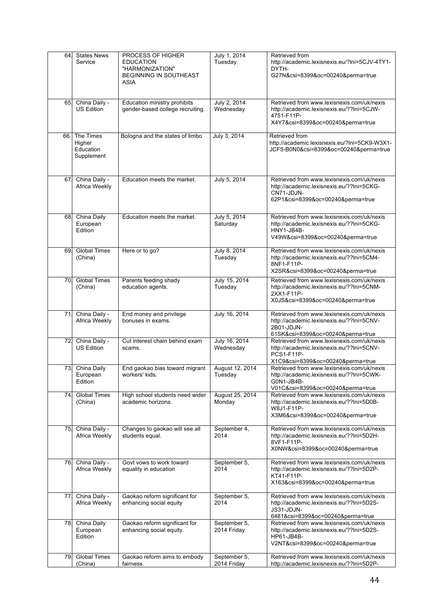| 64.  | <b>States News</b><br>Service                  | PROCESS OF HIGHER<br><b>EDUCATION</b><br>"HARMONIZATION"<br><b>BEGINNING IN SOUTHEAST</b><br><b>ASIA</b> | July 1, 2014<br>Tuesday     | Retrieved from<br>http://academic.lexisnexis.eu/?lni=5CJV-4TY1-<br>DYTH-<br>G27N&csi=8399&oc=00240&perma=true                                     |
|------|------------------------------------------------|----------------------------------------------------------------------------------------------------------|-----------------------------|---------------------------------------------------------------------------------------------------------------------------------------------------|
| 65.  | China Daily -<br><b>US Edition</b>             | Education ministry prohibits<br>gender-based college recruiting.                                         | July 2, 2014<br>Wednesday   | Retrieved from www.lexisnexis.com/uk/nexis<br>http://academic.lexisnexis.eu/??lni=5CJW-<br>4751-F11P-<br>X4Y7&csi=8399&oc=00240&perma=true        |
| 66.I | The Times<br>Higher<br>Education<br>Supplement | Bologna and the states of limbo                                                                          | July 3, 2014                | Retrieved from<br>http://academic.lexisnexis.eu/?lni=5CK9-W3X1-<br>JCF5-B0N0&csi=8399&oc=00240&perma=true                                         |
| 67.  | China Daily -<br>Africa Weekly                 | Education meets the market.                                                                              | July 5, 2014                | Retrieved from www.lexisnexis.com/uk/nexis<br>http://academic.lexisnexis.eu/??lni=5CKG-<br>CN71-JDJN-<br>62P1&csi=8399&oc=00240&perma=true        |
| 68.  | China Daily<br>European<br>Edition             | Education meets the market.                                                                              | July 5, 2014<br>Saturday    | Retrieved from www.lexisnexis.com/uk/nexis<br>http://academic.lexisnexis.eu/??lni=5CKG-<br>HNY1-JB4B-<br>V49W&csi=8399&oc=00240&perma=true        |
| 69.  | <b>Global Times</b><br>(China)                 | Here or to go?                                                                                           | July 8, 2014<br>Tuesday     | Retrieved from www.lexisnexis.com/uk/nexis<br>http://academic.lexisnexis.eu/??lni=5CM4-<br>8NF1-F11P-<br>X2SR&csi=8399&oc=00240&perma=true        |
| 70.  | <b>Global Times</b><br>(China)                 | Parents feeding shady<br>education agents.                                                               | July 15, 2014<br>Tuesday    | Retrieved from www.lexisnexis.com/uk/nexis<br>http://academic.lexisnexis.eu/??lni=5CNM-<br>2XX1-F11P-<br>X0JS&csi=8399&oc=00240&perma=true        |
| 71.  | China Daily -<br>Africa Weekly                 | End money and privilege<br>bonuses in exams.                                                             | July 16, 2014               | Retrieved from www.lexisnexis.com/uk/nexis<br>http://academic.lexisnexis.eu/??lni=5CNV-<br>2B01-JDJN-<br>61SK&csi=8399&oc=00240&perma=true        |
| 72.  | China Daily -<br><b>US Edition</b>             | Cut interest chain behind exam<br>scams.                                                                 | July 16, 2014<br>Wednesday  | Retrieved from www.lexisnexis.com/uk/nexis<br>http://academic.lexisnexis.eu/??lni=5CNV-<br><b>PCS1-F11P-</b><br>X1C9&csi=8399&oc=00240&perma=true |
| 73.  | China Daily<br>European<br>Edition             | End gaokao bias toward migrant<br>workers' kids.                                                         | August 12, 2014<br>Tuesday  | Retrieved from www.lexisnexis.com/uk/nexis<br>http://academic.lexisnexis.eu/??lni=5CWK-<br>G0N1-JB4B-<br>V01C&csi=8399&oc=00240&perma=true        |
| 74   | <b>Global Times</b><br>(China)                 | High school students need wider<br>academic horizons.                                                    | August 25, 2014<br>Monday   | Retrieved from www.lexisnexis.com/uk/nexis<br>http://academic.lexisnexis.eu/??lni=5D0B-<br>W8J1-F11P-<br>X3M6&csi=8399&oc=00240&perma=true        |
| 75.  | China Daily -<br>Africa Weekly                 | Changes to gaokao will see all<br>students equal.                                                        | September 4,<br>2014        | Retrieved from www.lexisnexis.com/uk/nexis<br>http://academic.lexisnexis.eu/??lni=5D2H-<br>8VF1-F11P-<br>X0NW&csi=8399&oc=00240&perma=true        |
| 76.  | China Daily -<br>Africa Weekly                 | Govt vows to work toward<br>equality in education                                                        | September 5,<br>2014        | Retrieved from www.lexisnexis.com/uk/nexis<br>http://academic.lexisnexis.eu/??lni=5D2P-<br>KT41-F11P-<br>X163&csi=8399&oc=00240&perma=true        |
| 77.  | China Daily -<br>Africa Weekly                 | Gaokao reform significant for<br>enhancing social equity                                                 | September 5,<br>2014        | Retrieved from www.lexisnexis.com/uk/nexis<br>http://academic.lexisnexis.eu/??lni=5D2S-<br>JS31-JDJN-<br>6481&csi=8399&oc=00240&perma=true        |
|      | 78. China Daily<br>European<br>Edition         | Gaokao reform significant for<br>enhancing social equity.                                                | September 5,<br>2014 Friday | Retrieved from www.lexisnexis.com/uk/nexis<br>http://academic.lexisnexis.eu/??lni=5D2S-<br>HP61-JB4B-<br>V2NT&csi=8399&oc=00240&perma=true        |
| 79.  | <b>Global Times</b><br>(China)                 | Gaokao reform aims to embody<br>fairness.                                                                | September 5,<br>2014 Friday | Retrieved from www.lexisnexis.com/uk/nexis<br>http://academic.lexisnexis.eu/??lni=5D2P-                                                           |